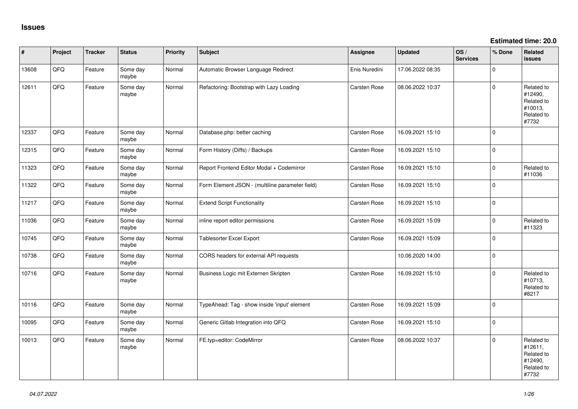**Estimated time: 20.0**

| #     | Project | <b>Tracker</b> | <b>Status</b>     | <b>Priority</b> | <b>Subject</b>                                  | Assignee      | <b>Updated</b>   | OS/<br><b>Services</b> | % Done      | Related<br><b>issues</b>                                              |
|-------|---------|----------------|-------------------|-----------------|-------------------------------------------------|---------------|------------------|------------------------|-------------|-----------------------------------------------------------------------|
| 13608 | QFQ     | Feature        | Some day<br>maybe | Normal          | Automatic Browser Language Redirect             | Enis Nuredini | 17.06.2022 08:35 |                        | $\mathbf 0$ |                                                                       |
| 12611 | QFQ     | Feature        | Some day<br>maybe | Normal          | Refactoring: Bootstrap with Lazy Loading        | Carsten Rose  | 08.06.2022 10:37 |                        | $\mathbf 0$ | Related to<br>#12490,<br>Related to<br>#10013,<br>Related to<br>#7732 |
| 12337 | QFQ     | Feature        | Some day<br>maybe | Normal          | Database.php: better caching                    | Carsten Rose  | 16.09.2021 15:10 |                        | $\Omega$    |                                                                       |
| 12315 | QFQ     | Feature        | Some day<br>maybe | Normal          | Form History (Diffs) / Backups                  | Carsten Rose  | 16.09.2021 15:10 |                        | $\mathbf 0$ |                                                                       |
| 11323 | QFQ     | Feature        | Some day<br>maybe | Normal          | Report Frontend Editor Modal + Codemirror       | Carsten Rose  | 16.09.2021 15:10 |                        | $\mathbf 0$ | Related to<br>#11036                                                  |
| 11322 | QFQ     | Feature        | Some day<br>maybe | Normal          | Form Element JSON - (multiline parameter field) | Carsten Rose  | 16.09.2021 15:10 |                        | $\Omega$    |                                                                       |
| 11217 | QFQ     | Feature        | Some day<br>maybe | Normal          | <b>Extend Script Functionality</b>              | Carsten Rose  | 16.09.2021 15:10 |                        | $\mathbf 0$ |                                                                       |
| 11036 | QFQ     | Feature        | Some day<br>maybe | Normal          | inline report editor permissions                | Carsten Rose  | 16.09.2021 15:09 |                        | $\Omega$    | Related to<br>#11323                                                  |
| 10745 | QFQ     | Feature        | Some day<br>maybe | Normal          | <b>Tablesorter Excel Export</b>                 | Carsten Rose  | 16.09.2021 15:09 |                        | $\Omega$    |                                                                       |
| 10738 | QFQ     | Feature        | Some day<br>maybe | Normal          | CORS headers for external API requests          |               | 10.06.2020 14:00 |                        | $\mathbf 0$ |                                                                       |
| 10716 | QFQ     | Feature        | Some day<br>maybe | Normal          | Business Logic mit Externen Skripten            | Carsten Rose  | 16.09.2021 15:10 |                        | $\Omega$    | Related to<br>#10713,<br>Related to<br>#8217                          |
| 10116 | QFQ     | Feature        | Some day<br>maybe | Normal          | TypeAhead: Tag - show inside 'input' element    | Carsten Rose  | 16.09.2021 15:09 |                        | $\mathbf 0$ |                                                                       |
| 10095 | QFQ     | Feature        | Some day<br>maybe | Normal          | Generic Gitlab Integration into QFQ             | Carsten Rose  | 16.09.2021 15:10 |                        | $\Omega$    |                                                                       |
| 10013 | QFQ     | Feature        | Some day<br>maybe | Normal          | FE.typ=editor: CodeMirror                       | Carsten Rose  | 08.06.2022 10:37 |                        | $\Omega$    | Related to<br>#12611,<br>Related to<br>#12490,<br>Related to<br>#7732 |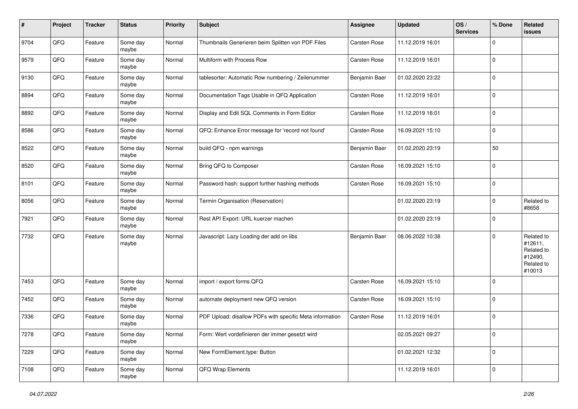| #    | Project | <b>Tracker</b> | <b>Status</b>     | <b>Priority</b> | <b>Subject</b>                                           | Assignee            | <b>Updated</b>   | OS/<br><b>Services</b> | % Done      | Related<br>issues                                                      |
|------|---------|----------------|-------------------|-----------------|----------------------------------------------------------|---------------------|------------------|------------------------|-------------|------------------------------------------------------------------------|
| 9704 | QFQ     | Feature        | Some day<br>maybe | Normal          | Thumbnails Generieren beim Splitten von PDF Files        | Carsten Rose        | 11.12.2019 16:01 |                        | $\mathbf 0$ |                                                                        |
| 9579 | QFQ     | Feature        | Some day<br>maybe | Normal          | Multiform with Process Row                               | Carsten Rose        | 11.12.2019 16:01 |                        | $\mathbf 0$ |                                                                        |
| 9130 | QFQ     | Feature        | Some day<br>maybe | Normal          | tablesorter: Automatic Row numbering / Zeilenummer       | Benjamin Baer       | 01.02.2020 23:22 |                        | $\mathbf 0$ |                                                                        |
| 8894 | QFQ     | Feature        | Some day<br>maybe | Normal          | Documentation Tags Usable in QFQ Application             | Carsten Rose        | 11.12.2019 16:01 |                        | l 0         |                                                                        |
| 8892 | QFQ     | Feature        | Some day<br>maybe | Normal          | Display and Edit SQL Comments in Form Editor             | <b>Carsten Rose</b> | 11.12.2019 16:01 |                        | l O         |                                                                        |
| 8586 | QFQ     | Feature        | Some day<br>maybe | Normal          | QFQ: Enhance Error message for 'record not found'        | Carsten Rose        | 16.09.2021 15:10 |                        | $\Omega$    |                                                                        |
| 8522 | QFQ     | Feature        | Some day<br>maybe | Normal          | build QFQ - npm warnings                                 | Benjamin Baer       | 01.02.2020 23:19 |                        | 50          |                                                                        |
| 8520 | QFQ     | Feature        | Some day<br>maybe | Normal          | Bring QFQ to Composer                                    | Carsten Rose        | 16.09.2021 15:10 |                        | 0           |                                                                        |
| 8101 | QFQ     | Feature        | Some day<br>maybe | Normal          | Password hash: support further hashing methods           | Carsten Rose        | 16.09.2021 15:10 |                        | 0           |                                                                        |
| 8056 | QFQ     | Feature        | Some day<br>maybe | Normal          | Termin Organisation (Reservation)                        |                     | 01.02.2020 23:19 |                        | $\mathbf 0$ | Related to<br>#8658                                                    |
| 7921 | QFQ     | Feature        | Some day<br>maybe | Normal          | Rest API Export: URL kuerzer machen                      |                     | 01.02.2020 23:19 |                        | l 0         |                                                                        |
| 7732 | QFQ     | Feature        | Some day<br>maybe | Normal          | Javascript: Lazy Loading der add on libs                 | Benjamin Baer       | 08.06.2022 10:38 |                        | l 0         | Related to<br>#12611,<br>Related to<br>#12490,<br>Related to<br>#10013 |
| 7453 | QFQ     | Feature        | Some day<br>maybe | Normal          | import / export forms QFQ                                | <b>Carsten Rose</b> | 16.09.2021 15:10 |                        | 0           |                                                                        |
| 7452 | QFQ     | Feature        | Some day<br>maybe | Normal          | automate deployment new QFQ version                      | Carsten Rose        | 16.09.2021 15:10 |                        | l 0         |                                                                        |
| 7336 | QFQ     | Feature        | Some day<br>maybe | Normal          | PDF Upload: disallow PDFs with specific Meta information | <b>Carsten Rose</b> | 11.12.2019 16:01 |                        | l 0         |                                                                        |
| 7278 | QFQ     | Feature        | Some day<br>maybe | Normal          | Form: Wert vordefinieren der immer gesetzt wird          |                     | 02.05.2021 09:27 |                        | l 0         |                                                                        |
| 7229 | QFQ     | Feature        | Some day<br>maybe | Normal          | New FormElement.type: Button                             |                     | 01.02.2021 12:32 |                        | 0           |                                                                        |
| 7108 | QFQ     | Feature        | Some day<br>maybe | Normal          | QFQ Wrap Elements                                        |                     | 11.12.2019 16:01 |                        | $\mathbf 0$ |                                                                        |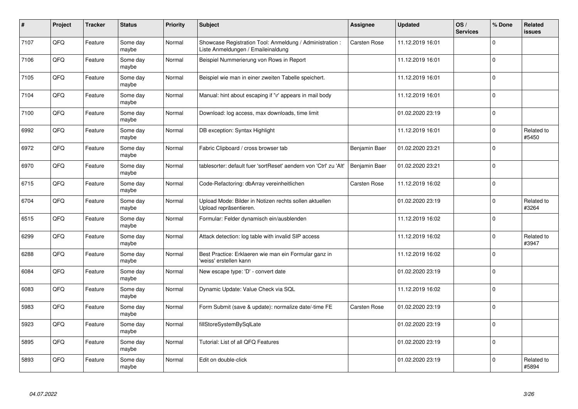| $\pmb{\#}$ | Project | <b>Tracker</b> | <b>Status</b>     | <b>Priority</b> | Subject                                                                                        | Assignee            | <b>Updated</b>   | OS/<br><b>Services</b> | % Done   | Related<br><b>issues</b> |
|------------|---------|----------------|-------------------|-----------------|------------------------------------------------------------------------------------------------|---------------------|------------------|------------------------|----------|--------------------------|
| 7107       | QFQ     | Feature        | Some day<br>maybe | Normal          | Showcase Registration Tool: Anmeldung / Administration :<br>Liste Anmeldungen / Emaileinaldung | Carsten Rose        | 11.12.2019 16:01 |                        | $\Omega$ |                          |
| 7106       | QFQ     | Feature        | Some dav<br>maybe | Normal          | Beispiel Nummerierung von Rows in Report                                                       |                     | 11.12.2019 16:01 |                        | I٥       |                          |
| 7105       | QFQ     | Feature        | Some day<br>maybe | Normal          | Beispiel wie man in einer zweiten Tabelle speichert.                                           |                     | 11.12.2019 16:01 |                        | l O      |                          |
| 7104       | QFQ     | Feature        | Some day<br>maybe | Normal          | Manual: hint about escaping if '\r' appears in mail body                                       |                     | 11.12.2019 16:01 |                        | ١o       |                          |
| 7100       | QFQ     | Feature        | Some day<br>maybe | Normal          | Download: log access, max downloads, time limit                                                |                     | 01.02.2020 23:19 |                        | I٥       |                          |
| 6992       | QFQ     | Feature        | Some day<br>maybe | Normal          | DB exception: Syntax Highlight                                                                 |                     | 11.12.2019 16:01 |                        | I٥       | Related to<br>#5450      |
| 6972       | QFQ     | Feature        | Some day<br>maybe | Normal          | Fabric Clipboard / cross browser tab                                                           | Benjamin Baer       | 01.02.2020 23:21 |                        | l 0      |                          |
| 6970       | QFQ     | Feature        | Some day<br>maybe | Normal          | tablesorter: default fuer 'sortReset' aendern von 'Ctrl' zu 'Alt'                              | Benjamin Baer       | 01.02.2020 23:21 |                        | l o      |                          |
| 6715       | QFQ     | Feature        | Some day<br>maybe | Normal          | Code-Refactoring: dbArray vereinheitlichen                                                     | <b>Carsten Rose</b> | 11.12.2019 16:02 |                        | I٥       |                          |
| 6704       | QFQ     | Feature        | Some day<br>maybe | Normal          | Upload Mode: Bilder in Notizen rechts sollen aktuellen<br>Upload repräsentieren.               |                     | 01.02.2020 23:19 |                        | $\Omega$ | Related to<br>#3264      |
| 6515       | QFQ     | Feature        | Some dav<br>maybe | Normal          | Formular: Felder dynamisch ein/ausblenden                                                      |                     | 11.12.2019 16:02 |                        | ١o       |                          |
| 6299       | QFQ     | Feature        | Some day<br>maybe | Normal          | Attack detection: log table with invalid SIP access                                            |                     | 11.12.2019 16:02 |                        | $\Omega$ | Related to<br>#3947      |
| 6288       | QFQ     | Feature        | Some day<br>maybe | Normal          | Best Practice: Erklaeren wie man ein Formular ganz in<br>'weiss' erstellen kann                |                     | 11.12.2019 16:02 |                        | I٥       |                          |
| 6084       | QFQ     | Feature        | Some day<br>maybe | Normal          | New escape type: 'D' - convert date                                                            |                     | 01.02.2020 23:19 |                        | I٥       |                          |
| 6083       | QFQ     | Feature        | Some day<br>maybe | Normal          | Dynamic Update: Value Check via SQL                                                            |                     | 11.12.2019 16:02 |                        | I٥       |                          |
| 5983       | QFQ     | Feature        | Some day<br>maybe | Normal          | Form Submit (save & update): normalize date/-time FE                                           | <b>Carsten Rose</b> | 01.02.2020 23:19 |                        | ١o       |                          |
| 5923       | QFQ     | Feature        | Some day<br>maybe | Normal          | fillStoreSystemBySqlLate                                                                       |                     | 01.02.2020 23:19 |                        | I٥       |                          |
| 5895       | QFQ     | Feature        | Some day<br>maybe | Normal          | Tutorial: List of all QFQ Features                                                             |                     | 01.02.2020 23:19 |                        | I٥       |                          |
| 5893       | QFQ     | Feature        | Some day<br>maybe | Normal          | Edit on double-click                                                                           |                     | 01.02.2020 23:19 |                        | $\Omega$ | Related to<br>#5894      |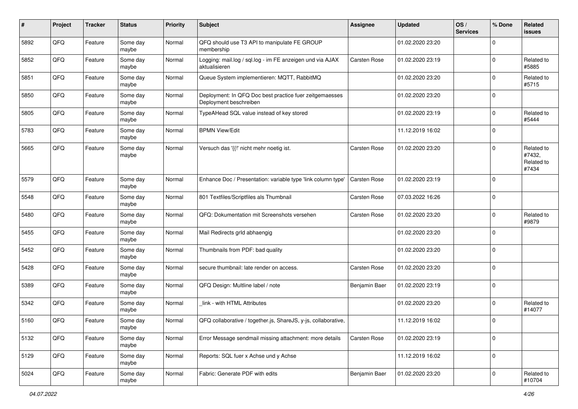| #    | Project | <b>Tracker</b> | <b>Status</b>     | <b>Priority</b> | <b>Subject</b>                                                                    | <b>Assignee</b> | <b>Updated</b>   | OS/<br><b>Services</b> | % Done      | Related<br><b>issues</b>                    |
|------|---------|----------------|-------------------|-----------------|-----------------------------------------------------------------------------------|-----------------|------------------|------------------------|-------------|---------------------------------------------|
| 5892 | QFQ     | Feature        | Some day<br>maybe | Normal          | QFQ should use T3 API to manipulate FE GROUP<br>membership                        |                 | 01.02.2020 23:20 |                        | $\mathbf 0$ |                                             |
| 5852 | QFQ     | Feature        | Some day<br>maybe | Normal          | Logging: mail.log / sql.log - im FE anzeigen und via AJAX<br>aktualisieren        | Carsten Rose    | 01.02.2020 23:19 |                        | $\mathbf 0$ | Related to<br>#5885                         |
| 5851 | QFQ     | Feature        | Some day<br>maybe | Normal          | Queue System implementieren: MQTT, RabbitMQ                                       |                 | 01.02.2020 23:20 |                        | $\Omega$    | Related to<br>#5715                         |
| 5850 | QFQ     | Feature        | Some day<br>maybe | Normal          | Deployment: In QFQ Doc best practice fuer zeitgemaesses<br>Deployment beschreiben |                 | 01.02.2020 23:20 |                        | $\mathbf 0$ |                                             |
| 5805 | QFQ     | Feature        | Some day<br>maybe | Normal          | TypeAHead SQL value instead of key stored                                         |                 | 01.02.2020 23:19 |                        | $\Omega$    | Related to<br>#5444                         |
| 5783 | QFQ     | Feature        | Some day<br>maybe | Normal          | <b>BPMN View/Edit</b>                                                             |                 | 11.12.2019 16:02 |                        | $\mathbf 0$ |                                             |
| 5665 | QFQ     | Feature        | Some day<br>maybe | Normal          | Versuch das '{{!' nicht mehr noetig ist.                                          | Carsten Rose    | 01.02.2020 23:20 |                        | $\Omega$    | Related to<br>#7432,<br>Related to<br>#7434 |
| 5579 | QFQ     | Feature        | Some day<br>maybe | Normal          | Enhance Doc / Presentation: variable type 'link column type'                      | Carsten Rose    | 01.02.2020 23:19 |                        | $\mathbf 0$ |                                             |
| 5548 | QFQ     | Feature        | Some day<br>maybe | Normal          | 801 Textfiles/Scriptfiles als Thumbnail                                           | Carsten Rose    | 07.03.2022 16:26 |                        | $\Omega$    |                                             |
| 5480 | QFQ     | Feature        | Some day<br>maybe | Normal          | QFQ: Dokumentation mit Screenshots versehen                                       | Carsten Rose    | 01.02.2020 23:20 |                        | $\mathbf 0$ | Related to<br>#9879                         |
| 5455 | QFQ     | Feature        | Some day<br>maybe | Normal          | Mail Redirects grld abhaengig                                                     |                 | 01.02.2020 23:20 |                        | 0           |                                             |
| 5452 | QFQ     | Feature        | Some day<br>maybe | Normal          | Thumbnails from PDF: bad quality                                                  |                 | 01.02.2020 23:20 |                        | $\mathbf 0$ |                                             |
| 5428 | QFQ     | Feature        | Some day<br>maybe | Normal          | secure thumbnail: late render on access.                                          | Carsten Rose    | 01.02.2020 23:20 |                        | $\mathbf 0$ |                                             |
| 5389 | QFQ     | Feature        | Some day<br>maybe | Normal          | QFQ Design: Multline label / note                                                 | Benjamin Baer   | 01.02.2020 23:19 |                        | $\mathbf 0$ |                                             |
| 5342 | QFQ     | Feature        | Some day<br>maybe | Normal          | link - with HTML Attributes                                                       |                 | 01.02.2020 23:20 |                        | $\mathbf 0$ | Related to<br>#14077                        |
| 5160 | QFQ     | Feature        | Some day<br>maybe | Normal          | QFQ collaborative / together.js, ShareJS, y-js, collaborative,                    |                 | 11.12.2019 16:02 |                        | $\Omega$    |                                             |
| 5132 | QFQ     | Feature        | Some day<br>maybe | Normal          | Error Message sendmail missing attachment: more details                           | Carsten Rose    | 01.02.2020 23:19 |                        | 0           |                                             |
| 5129 | QFQ     | Feature        | Some day<br>maybe | Normal          | Reports: SQL fuer x Achse und y Achse                                             |                 | 11.12.2019 16:02 |                        | 0           |                                             |
| 5024 | QFQ     | Feature        | Some day<br>maybe | Normal          | Fabric: Generate PDF with edits                                                   | Benjamin Baer   | 01.02.2020 23:20 |                        | $\mathbf 0$ | Related to<br>#10704                        |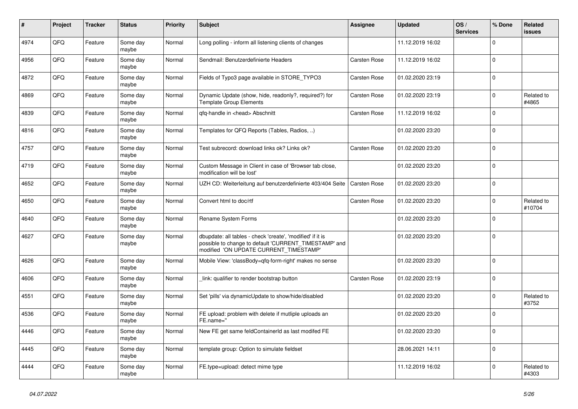| $\pmb{\sharp}$ | <b>Project</b> | <b>Tracker</b> | <b>Status</b>     | <b>Priority</b> | <b>Subject</b>                                                                                                                                                | <b>Assignee</b> | <b>Updated</b>   | OS/<br><b>Services</b> | % Done      | <b>Related</b><br>issues |
|----------------|----------------|----------------|-------------------|-----------------|---------------------------------------------------------------------------------------------------------------------------------------------------------------|-----------------|------------------|------------------------|-------------|--------------------------|
| 4974           | QFQ            | Feature        | Some day<br>maybe | Normal          | Long polling - inform all listening clients of changes                                                                                                        |                 | 11.12.2019 16:02 |                        | $\Omega$    |                          |
| 4956           | QFQ            | Feature        | Some day<br>maybe | Normal          | Sendmail: Benutzerdefinierte Headers                                                                                                                          | Carsten Rose    | 11.12.2019 16:02 |                        | $\mathbf 0$ |                          |
| 4872           | QFQ            | Feature        | Some day<br>maybe | Normal          | Fields of Typo3 page available in STORE_TYPO3                                                                                                                 | Carsten Rose    | 01.02.2020 23:19 |                        | $\mathbf 0$ |                          |
| 4869           | QFQ            | Feature        | Some day<br>maybe | Normal          | Dynamic Update (show, hide, readonly?, required?) for<br><b>Template Group Elements</b>                                                                       | Carsten Rose    | 01.02.2020 23:19 |                        | $\Omega$    | Related to<br>#4865      |
| 4839           | QFQ            | Feature        | Some day<br>maybe | Normal          | qfq-handle in <head> Abschnitt</head>                                                                                                                         | Carsten Rose    | 11.12.2019 16:02 |                        | $\mathbf 0$ |                          |
| 4816           | QFQ            | Feature        | Some day<br>maybe | Normal          | Templates for QFQ Reports (Tables, Radios, )                                                                                                                  |                 | 01.02.2020 23:20 |                        | $\mathbf 0$ |                          |
| 4757           | QFQ            | Feature        | Some day<br>maybe | Normal          | Test subrecord: download links ok? Links ok?                                                                                                                  | Carsten Rose    | 01.02.2020 23:20 |                        | $\Omega$    |                          |
| 4719           | QFQ            | Feature        | Some day<br>maybe | Normal          | Custom Message in Client in case of 'Browser tab close,<br>modification will be lost'                                                                         |                 | 01.02.2020 23:20 |                        | $\mathbf 0$ |                          |
| 4652           | QFQ            | Feature        | Some day<br>maybe | Normal          | UZH CD: Weiterleitung auf benutzerdefinierte 403/404 Seite                                                                                                    | Carsten Rose    | 01.02.2020 23:20 |                        | $\Omega$    |                          |
| 4650           | QFQ            | Feature        | Some day<br>maybe | Normal          | Convert html to doc/rtf                                                                                                                                       | Carsten Rose    | 01.02.2020 23:20 |                        | $\Omega$    | Related to<br>#10704     |
| 4640           | QFQ            | Feature        | Some day<br>maybe | Normal          | Rename System Forms                                                                                                                                           |                 | 01.02.2020 23:20 |                        | $\mathbf 0$ |                          |
| 4627           | QFQ            | Feature        | Some day<br>maybe | Normal          | dbupdate: all tables - check 'create', 'modified' if it is<br>possible to change to default 'CURRENT TIMESTAMP' and<br>modified 'ON UPDATE CURRENT_TIMESTAMP' |                 | 01.02.2020 23:20 |                        | $\mathbf 0$ |                          |
| 4626           | QFQ            | Feature        | Some day<br>maybe | Normal          | Mobile View: 'classBody=qfq-form-right' makes no sense                                                                                                        |                 | 01.02.2020 23:20 |                        | $\mathbf 0$ |                          |
| 4606           | QFQ            | Feature        | Some day<br>maybe | Normal          | link: qualifier to render bootstrap button                                                                                                                    | Carsten Rose    | 01.02.2020 23:19 |                        | $\mathbf 0$ |                          |
| 4551           | QFQ            | Feature        | Some day<br>maybe | Normal          | Set 'pills' via dynamicUpdate to show/hide/disabled                                                                                                           |                 | 01.02.2020 23:20 |                        | $\mathbf 0$ | Related to<br>#3752      |
| 4536           | QFQ            | Feature        | Some day<br>maybe | Normal          | FE upload: problem with delete if mutliple uploads an<br>FE.name="                                                                                            |                 | 01.02.2020 23:20 |                        | $\Omega$    |                          |
| 4446           | QFQ            | Feature        | Some day<br>maybe | Normal          | New FE get same feldContainerId as last modifed FE                                                                                                            |                 | 01.02.2020 23:20 |                        | $\Omega$    |                          |
| 4445           | QFQ            | Feature        | Some day<br>maybe | Normal          | template group: Option to simulate fieldset                                                                                                                   |                 | 28.06.2021 14:11 |                        | $\mathbf 0$ |                          |
| 4444           | QFQ            | Feature        | Some day<br>maybe | Normal          | FE.type=upload: detect mime type                                                                                                                              |                 | 11.12.2019 16:02 |                        | $\Omega$    | Related to<br>#4303      |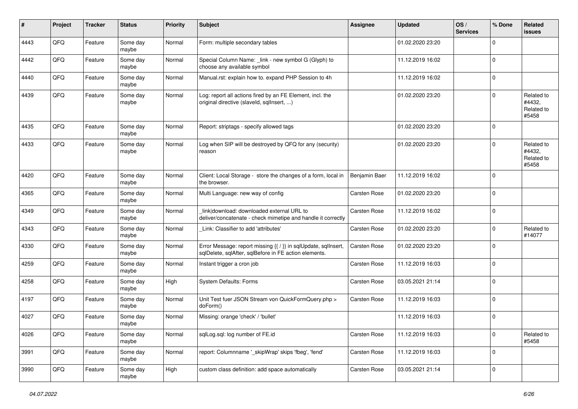| #    | Project | <b>Tracker</b> | <b>Status</b>     | <b>Priority</b> | <b>Subject</b>                                                                                                          | <b>Assignee</b>     | <b>Updated</b>   | OS/<br><b>Services</b> | % Done      | Related<br><b>issues</b>                    |
|------|---------|----------------|-------------------|-----------------|-------------------------------------------------------------------------------------------------------------------------|---------------------|------------------|------------------------|-------------|---------------------------------------------|
| 4443 | QFQ     | Feature        | Some day<br>maybe | Normal          | Form: multiple secondary tables                                                                                         |                     | 01.02.2020 23:20 |                        | $\mathbf 0$ |                                             |
| 4442 | QFQ     | Feature        | Some day<br>maybe | Normal          | Special Column Name: _link - new symbol G (Glyph) to<br>choose any available symbol                                     |                     | 11.12.2019 16:02 |                        | $\mathbf 0$ |                                             |
| 4440 | QFQ     | Feature        | Some day<br>maybe | Normal          | Manual.rst: explain how to. expand PHP Session to 4h                                                                    |                     | 11.12.2019 16:02 |                        | $\mathbf 0$ |                                             |
| 4439 | QFQ     | Feature        | Some day<br>maybe | Normal          | Log: report all actions fired by an FE Element, incl. the<br>original directive (slaveld, sqllnsert, )                  |                     | 01.02.2020 23:20 |                        | $\mathbf 0$ | Related to<br>#4432,<br>Related to<br>#5458 |
| 4435 | QFQ     | Feature        | Some day<br>maybe | Normal          | Report: striptags - specify allowed tags                                                                                |                     | 01.02.2020 23:20 |                        | $\mathbf 0$ |                                             |
| 4433 | QFQ     | Feature        | Some day<br>maybe | Normal          | Log when SIP will be destroyed by QFQ for any (security)<br>reason                                                      |                     | 01.02.2020 23:20 |                        | $\mathbf 0$ | Related to<br>#4432,<br>Related to<br>#5458 |
| 4420 | QFQ     | Feature        | Some day<br>maybe | Normal          | Client: Local Storage - store the changes of a form, local in<br>the browser.                                           | Benjamin Baer       | 11.12.2019 16:02 |                        | $\mathbf 0$ |                                             |
| 4365 | QFQ     | Feature        | Some day<br>maybe | Normal          | Multi Language: new way of config                                                                                       | <b>Carsten Rose</b> | 01.02.2020 23:20 |                        | $\mathbf 0$ |                                             |
| 4349 | QFQ     | Feature        | Some day<br>maybe | Normal          | link download: downloaded external URL to<br>deliver/concatenate - check mimetipe and handle it correctly               | <b>Carsten Rose</b> | 11.12.2019 16:02 |                        | $\mathbf 0$ |                                             |
| 4343 | QFQ     | Feature        | Some day<br>maybe | Normal          | Link: Classifier to add 'attributes'                                                                                    | <b>Carsten Rose</b> | 01.02.2020 23:20 |                        | $\mathbf 0$ | Related to<br>#14077                        |
| 4330 | QFQ     | Feature        | Some day<br>maybe | Normal          | Error Message: report missing {{ / }} in sqlUpdate, sqlInsert,<br>sqlDelete, sqlAfter, sqlBefore in FE action elements. | <b>Carsten Rose</b> | 01.02.2020 23:20 |                        | $\mathbf 0$ |                                             |
| 4259 | QFQ     | Feature        | Some day<br>maybe | Normal          | Instant trigger a cron job                                                                                              | Carsten Rose        | 11.12.2019 16:03 |                        | $\mathbf 0$ |                                             |
| 4258 | QFQ     | Feature        | Some day<br>maybe | High            | System Defaults: Forms                                                                                                  | Carsten Rose        | 03.05.2021 21:14 |                        | $\mathbf 0$ |                                             |
| 4197 | QFQ     | Feature        | Some day<br>maybe | Normal          | Unit Test fuer JSON Stream von QuickFormQuery.php ><br>doForm()                                                         | Carsten Rose        | 11.12.2019 16:03 |                        | $\mathbf 0$ |                                             |
| 4027 | QFQ     | Feature        | Some day<br>maybe | Normal          | Missing: orange 'check' / 'bullet'                                                                                      |                     | 11.12.2019 16:03 |                        | $\mathbf 0$ |                                             |
| 4026 | QFQ     | Feature        | Some day<br>maybe | Normal          | sqlLog.sql: log number of FE.id                                                                                         | Carsten Rose        | 11.12.2019 16:03 |                        | $\mathbf 0$ | Related to<br>#5458                         |
| 3991 | QFQ     | Feature        | Some day<br>maybe | Normal          | report: Columnname '_skipWrap' skips 'fbeg', 'fend'                                                                     | Carsten Rose        | 11.12.2019 16:03 |                        | 0           |                                             |
| 3990 | QFQ     | Feature        | Some day<br>maybe | High            | custom class definition: add space automatically                                                                        | Carsten Rose        | 03.05.2021 21:14 |                        | $\mathbf 0$ |                                             |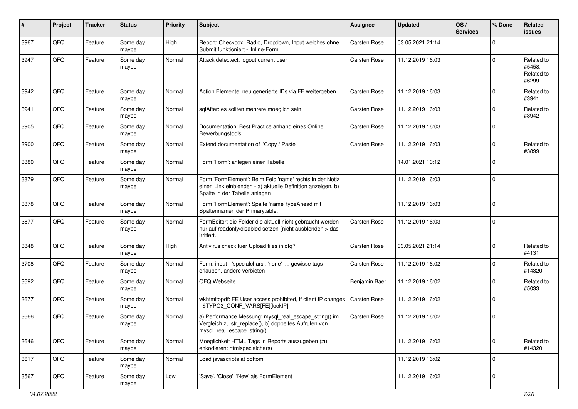| $\#$ | Project | <b>Tracker</b> | <b>Status</b>     | <b>Priority</b> | <b>Subject</b>                                                                                                                                           | <b>Assignee</b>     | <b>Updated</b>   | OS/<br><b>Services</b> | % Done      | Related<br><b>issues</b>                    |
|------|---------|----------------|-------------------|-----------------|----------------------------------------------------------------------------------------------------------------------------------------------------------|---------------------|------------------|------------------------|-------------|---------------------------------------------|
| 3967 | QFQ     | Feature        | Some day<br>maybe | High            | Report: Checkbox, Radio, Dropdown, Input welches ohne<br>Submit funktioniert - 'Inline-Form'                                                             | Carsten Rose        | 03.05.2021 21:14 |                        | $\Omega$    |                                             |
| 3947 | QFQ     | Feature        | Some day<br>maybe | Normal          | Attack detectect: logout current user                                                                                                                    | Carsten Rose        | 11.12.2019 16:03 |                        | $\mathbf 0$ | Related to<br>#5458,<br>Related to<br>#6299 |
| 3942 | QFQ     | Feature        | Some day<br>maybe | Normal          | Action Elemente: neu generierte IDs via FE weitergeben                                                                                                   | Carsten Rose        | 11.12.2019 16:03 |                        | $\mathbf 0$ | Related to<br>#3941                         |
| 3941 | QFQ     | Feature        | Some day<br>maybe | Normal          | sqlAfter: es sollten mehrere moeglich sein                                                                                                               | <b>Carsten Rose</b> | 11.12.2019 16:03 |                        | $\mathbf 0$ | Related to<br>#3942                         |
| 3905 | QFQ     | Feature        | Some day<br>maybe | Normal          | Documentation: Best Practice anhand eines Online<br>Bewerbungstools                                                                                      | Carsten Rose        | 11.12.2019 16:03 |                        | $\mathbf 0$ |                                             |
| 3900 | QFQ     | Feature        | Some day<br>maybe | Normal          | Extend documentation of 'Copy / Paste'                                                                                                                   | Carsten Rose        | 11.12.2019 16:03 |                        | $\mathbf 0$ | Related to<br>#3899                         |
| 3880 | QFQ     | Feature        | Some day<br>maybe | Normal          | Form 'Form': anlegen einer Tabelle                                                                                                                       |                     | 14.01.2021 10:12 |                        | $\mathbf 0$ |                                             |
| 3879 | QFQ     | Feature        | Some day<br>maybe | Normal          | Form 'FormElement': Beim Feld 'name' rechts in der Notiz<br>einen Link einblenden - a) aktuelle Definition anzeigen, b)<br>Spalte in der Tabelle anlegen |                     | 11.12.2019 16:03 |                        | $\mathbf 0$ |                                             |
| 3878 | QFQ     | Feature        | Some day<br>maybe | Normal          | Form 'FormElement': Spalte 'name' typeAhead mit<br>Spaltennamen der Primarytable.                                                                        |                     | 11.12.2019 16:03 |                        | $\mathbf 0$ |                                             |
| 3877 | QFQ     | Feature        | Some day<br>maybe | Normal          | FormEditor: die Felder die aktuell nicht gebraucht werden<br>nur auf readonly/disabled setzen (nicht ausblenden > das<br>irritiert.                      | Carsten Rose        | 11.12.2019 16:03 |                        | $\mathbf 0$ |                                             |
| 3848 | QFQ     | Feature        | Some day<br>maybe | High            | Antivirus check fuer Upload files in qfq?                                                                                                                | <b>Carsten Rose</b> | 03.05.2021 21:14 |                        | $\Omega$    | Related to<br>#4131                         |
| 3708 | QFQ     | Feature        | Some day<br>maybe | Normal          | Form: input - 'specialchars', 'none'  gewisse tags<br>erlauben, andere verbieten                                                                         | Carsten Rose        | 11.12.2019 16:02 |                        | $\mathbf 0$ | Related to<br>#14320                        |
| 3692 | QFQ     | Feature        | Some day<br>maybe | Normal          | QFQ Webseite                                                                                                                                             | Benjamin Baer       | 11.12.2019 16:02 |                        | $\mathbf 0$ | Related to<br>#5033                         |
| 3677 | QFQ     | Feature        | Some day<br>maybe | Normal          | wkhtmltopdf: FE User access prohibited, if client IP changes<br>- \$TYPO3_CONF_VARS[FE][lockIP]                                                          | Carsten Rose        | 11.12.2019 16:02 |                        | $\mathbf 0$ |                                             |
| 3666 | QFQ     | Feature        | Some day<br>maybe | Normal          | a) Performance Messung: mysql_real_escape_string() im<br>Vergleich zu str_replace(), b) doppeltes Aufrufen von<br>mysql_real_escape_string()             | Carsten Rose        | 11.12.2019 16:02 |                        | $\mathbf 0$ |                                             |
| 3646 | QFQ     | Feature        | Some day<br>maybe | Normal          | Moeglichkeit HTML Tags in Reports auszugeben (zu<br>enkodieren: htmlspecialchars)                                                                        |                     | 11.12.2019 16:02 |                        | $\mathbf 0$ | Related to<br>#14320                        |
| 3617 | QFQ     | Feature        | Some day<br>maybe | Normal          | Load javascripts at bottom                                                                                                                               |                     | 11.12.2019 16:02 |                        | $\mathbf 0$ |                                             |
| 3567 | QFQ     | Feature        | Some day<br>maybe | Low             | 'Save', 'Close', 'New' als FormElement                                                                                                                   |                     | 11.12.2019 16:02 |                        | $\mathbf 0$ |                                             |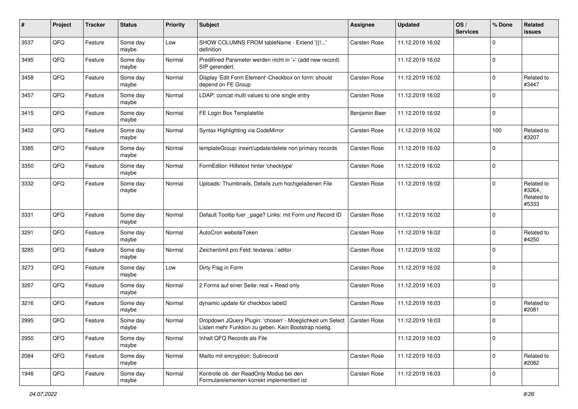| #    | Project | <b>Tracker</b> | <b>Status</b>     | <b>Priority</b> | <b>Subject</b>                                                                                                                    | <b>Assignee</b>     | <b>Updated</b>   | OS/<br><b>Services</b> | % Done      | Related<br>issues                           |
|------|---------|----------------|-------------------|-----------------|-----------------------------------------------------------------------------------------------------------------------------------|---------------------|------------------|------------------------|-------------|---------------------------------------------|
| 3537 | QFQ     | Feature        | Some day<br>maybe | Low             | SHOW COLUMNS FROM tableName - Extend '{{!'<br>definition                                                                          | <b>Carsten Rose</b> | 11.12.2019 16:02 |                        | $\Omega$    |                                             |
| 3495 | QFQ     | Feature        | Some day<br>maybe | Normal          | Predifined Parameter werden nicht in '+' (add new record)<br>SIP gerendert.                                                       |                     | 11.12.2019 16:02 |                        | $\mathbf 0$ |                                             |
| 3458 | QFQ     | Feature        | Some dav<br>maybe | Normal          | Display 'Edit Form Element'-Checkbox on form: should<br>depend on FE Group                                                        | <b>Carsten Rose</b> | 11.12.2019 16:02 |                        | $\Omega$    | Related to<br>#3447                         |
| 3457 | QFQ     | Feature        | Some day<br>maybe | Normal          | LDAP: concat multi values to one single entry                                                                                     | Carsten Rose        | 11.12.2019 16:02 |                        | l 0         |                                             |
| 3415 | QFQ     | Feature        | Some day<br>maybe | Normal          | FE Login Box Templatefile                                                                                                         | Benjamin Baer       | 11.12.2019 16:02 |                        | $\mathbf 0$ |                                             |
| 3402 | QFQ     | Feature        | Some day<br>maybe | Normal          | Syntax Highlighting via CodeMirror                                                                                                | Carsten Rose        | 11.12.2019 16:02 |                        | 100         | Related to<br>#3207                         |
| 3385 | QFQ     | Feature        | Some day<br>maybe | Normal          | templateGroup: insert/update/delete non primary records                                                                           | <b>Carsten Rose</b> | 11.12.2019 16:02 |                        | $\mathbf 0$ |                                             |
| 3350 | QFQ     | Feature        | Some day<br>maybe | Normal          | FormEditor: Hilfetext hinter 'checktype'                                                                                          | <b>Carsten Rose</b> | 11.12.2019 16:02 |                        | l 0         |                                             |
| 3332 | QFQ     | Feature        | Some day<br>maybe | Normal          | Uploads: Thumbnails, Details zum hochgeladenen File                                                                               | Carsten Rose        | 11.12.2019 16:02 |                        | $\mathbf 0$ | Related to<br>#3264,<br>Related to<br>#5333 |
| 3331 | QFQ     | Feature        | Some day<br>maybe | Normal          | Default Tooltip fuer _page? Links: mit Form und Record ID                                                                         | <b>Carsten Rose</b> | 11.12.2019 16:02 |                        | l 0         |                                             |
| 3291 | QFQ     | Feature        | Some day<br>maybe | Normal          | AutoCron websiteToken                                                                                                             | <b>Carsten Rose</b> | 11.12.2019 16:02 |                        | l 0         | Related to<br>#4250                         |
| 3285 | QFQ     | Feature        | Some day<br>maybe | Normal          | Zeichenlimit pro Feld: textarea / editor                                                                                          | <b>Carsten Rose</b> | 11.12.2019 16:02 |                        | $\Omega$    |                                             |
| 3273 | QFQ     | Feature        | Some day<br>maybe | Low             | Dirty Flag in Form                                                                                                                | Carsten Rose        | 11.12.2019 16:02 |                        | ١o          |                                             |
| 3267 | QFQ     | Feature        | Some day<br>maybe | Normal          | 2 Forms auf einer Seite: real + Read only                                                                                         | Carsten Rose        | 11.12.2019 16:03 |                        | $\Omega$    |                                             |
| 3216 | QFQ     | Feature        | Some day<br>maybe | Normal          | dynamic update für checkbox label2                                                                                                | <b>Carsten Rose</b> | 11.12.2019 16:03 |                        | $\Omega$    | Related to<br>#2081                         |
| 2995 | QFQ     | Feature        | Some day<br>maybe | Normal          | Dropdown JQuery Plugin: 'chosen' - Moeglichkeit um Select   Carsten Rose<br>Listen mehr Funktion zu geben. Kein Bootstrap noetig. |                     | 11.12.2019 16:03 |                        | $\Omega$    |                                             |
| 2950 | QFG     | Feature        | Some day<br>maybe | Normal          | Inhalt QFQ Records als File                                                                                                       |                     | 11.12.2019 16:03 |                        | l O         |                                             |
| 2084 | QFG     | Feature        | Some day<br>maybe | Normal          | Mailto mit encryption: Subrecord                                                                                                  | <b>Carsten Rose</b> | 11.12.2019 16:03 |                        | l 0         | Related to<br>#2082                         |
| 1946 | QFG     | Feature        | Some day<br>maybe | Normal          | Kontrolle ob der ReadOnly Modus bei den<br>Formularelementen korrekt implementiert ist                                            | Carsten Rose        | 11.12.2019 16:03 |                        | l O         |                                             |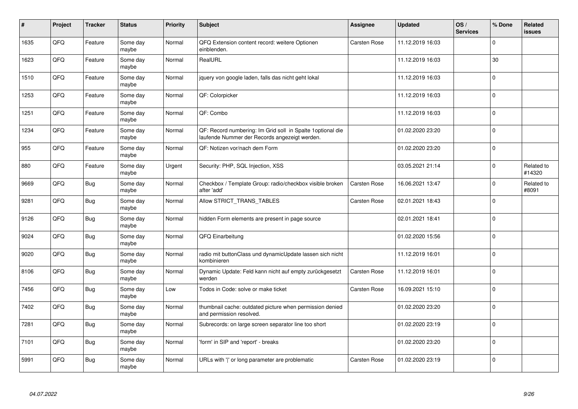| #    | Project | <b>Tracker</b> | <b>Status</b>     | Priority | <b>Subject</b>                                                                                              | Assignee            | <b>Updated</b>   | OS/<br><b>Services</b> | % Done       | Related<br><b>issues</b> |
|------|---------|----------------|-------------------|----------|-------------------------------------------------------------------------------------------------------------|---------------------|------------------|------------------------|--------------|--------------------------|
| 1635 | QFQ     | Feature        | Some day<br>maybe | Normal   | QFQ Extension content record: weitere Optionen<br>einblenden.                                               | <b>Carsten Rose</b> | 11.12.2019 16:03 |                        | $\Omega$     |                          |
| 1623 | QFQ     | Feature        | Some day<br>maybe | Normal   | RealURL                                                                                                     |                     | 11.12.2019 16:03 |                        | 30           |                          |
| 1510 | QFQ     | Feature        | Some day<br>maybe | Normal   | jquery von google laden, falls das nicht geht lokal                                                         |                     | 11.12.2019 16:03 |                        | $\Omega$     |                          |
| 1253 | QFQ     | Feature        | Some day<br>maybe | Normal   | QF: Colorpicker                                                                                             |                     | 11.12.2019 16:03 |                        | $\Omega$     |                          |
| 1251 | QFQ     | Feature        | Some day<br>maybe | Normal   | QF: Combo                                                                                                   |                     | 11.12.2019 16:03 |                        | I٥           |                          |
| 1234 | QFQ     | Feature        | Some day<br>maybe | Normal   | QF: Record numbering: Im Grid soll in Spalte 1optional die<br>laufende Nummer der Records angezeigt werden. |                     | 01.02.2020 23:20 |                        | l o          |                          |
| 955  | QFQ     | Feature        | Some day<br>maybe | Normal   | QF: Notizen vor/nach dem Form                                                                               |                     | 01.02.2020 23:20 |                        | l 0          |                          |
| 880  | QFQ     | Feature        | Some day<br>maybe | Urgent   | Security: PHP, SQL Injection, XSS                                                                           |                     | 03.05.2021 21:14 |                        | $\Omega$     | Related to<br>#14320     |
| 9669 | QFQ     | Bug            | Some day<br>maybe | Normal   | Checkbox / Template Group: radio/checkbox visible broken<br>after 'add'                                     | Carsten Rose        | 16.06.2021 13:47 |                        | $\Omega$     | Related to<br>#8091      |
| 9281 | QFQ     | Bug            | Some day<br>maybe | Normal   | Allow STRICT_TRANS_TABLES                                                                                   | <b>Carsten Rose</b> | 02.01.2021 18:43 |                        | $\Omega$     |                          |
| 9126 | QFQ     | Bug            | Some day<br>maybe | Normal   | hidden Form elements are present in page source                                                             |                     | 02.01.2021 18:41 |                        | $\mathbf{0}$ |                          |
| 9024 | QFQ     | <b>Bug</b>     | Some day<br>maybe | Normal   | QFQ Einarbeitung                                                                                            |                     | 01.02.2020 15:56 |                        | $\Omega$     |                          |
| 9020 | QFQ     | <b>Bug</b>     | Some day<br>maybe | Normal   | radio mit buttonClass und dynamicUpdate lassen sich nicht<br>kombinieren                                    |                     | 11.12.2019 16:01 |                        | l 0          |                          |
| 8106 | QFQ     | <b>Bug</b>     | Some day<br>maybe | Normal   | Dynamic Update: Feld kann nicht auf empty zurückgesetzt<br>werden                                           | Carsten Rose        | 11.12.2019 16:01 |                        | $\Omega$     |                          |
| 7456 | QFQ     | <b>Bug</b>     | Some day<br>maybe | Low      | Todos in Code: solve or make ticket                                                                         | Carsten Rose        | 16.09.2021 15:10 |                        | $\Omega$     |                          |
| 7402 | QFQ     | <b>Bug</b>     | Some day<br>maybe | Normal   | thumbnail cache: outdated picture when permission denied<br>and permission resolved.                        |                     | 01.02.2020 23:20 |                        | l o          |                          |
| 7281 | QFQ     | <b>Bug</b>     | Some day<br>maybe | Normal   | Subrecords: on large screen separator line too short                                                        |                     | 01.02.2020 23:19 |                        | $\Omega$     |                          |
| 7101 | QFQ     | <b>Bug</b>     | Some day<br>maybe | Normal   | 'form' in SIP and 'report' - breaks                                                                         |                     | 01.02.2020 23:20 |                        | l 0          |                          |
| 5991 | QFQ     | Bug            | Some day<br>maybe | Normal   | URLs with ' ' or long parameter are problematic                                                             | <b>Carsten Rose</b> | 01.02.2020 23:19 |                        | I٥           |                          |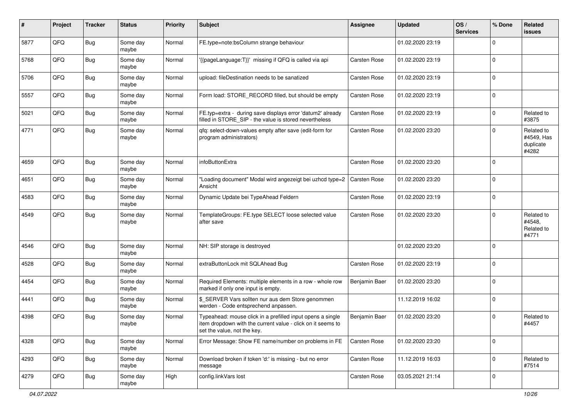| $\vert$ # | Project | <b>Tracker</b> | <b>Status</b>     | <b>Priority</b> | Subject                                                                                                                                                  | Assignee            | <b>Updated</b>   | OS/<br><b>Services</b> | % Done       | Related<br><b>issues</b>                       |
|-----------|---------|----------------|-------------------|-----------------|----------------------------------------------------------------------------------------------------------------------------------------------------------|---------------------|------------------|------------------------|--------------|------------------------------------------------|
| 5877      | QFQ     | <b>Bug</b>     | Some day<br>maybe | Normal          | FE.type=note:bsColumn strange behaviour                                                                                                                  |                     | 01.02.2020 23:19 |                        | $\Omega$     |                                                |
| 5768      | QFQ     | Bug            | Some day<br>maybe | Normal          | '{{pageLanguage:T}}' missing if QFQ is called via api                                                                                                    | <b>Carsten Rose</b> | 01.02.2020 23:19 |                        | l 0          |                                                |
| 5706      | QFQ     | <b>Bug</b>     | Some day<br>maybe | Normal          | upload: fileDestination needs to be sanatized                                                                                                            | Carsten Rose        | 01.02.2020 23:19 |                        | $\Omega$     |                                                |
| 5557      | QFQ     | <b>Bug</b>     | Some day<br>maybe | Normal          | Form load: STORE_RECORD filled, but should be empty                                                                                                      | Carsten Rose        | 01.02.2020 23:19 |                        | $\mathbf 0$  |                                                |
| 5021      | QFQ     | <b>Bug</b>     | Some day<br>maybe | Normal          | FE.typ=extra - during save displays error 'datum2' already<br>filled in STORE_SIP - the value is stored nevertheless                                     | Carsten Rose        | 01.02.2020 23:19 |                        | $\mathbf 0$  | Related to<br>#3875                            |
| 4771      | QFQ     | <b>Bug</b>     | Some day<br>maybe | Normal          | qfq: select-down-values empty after save (edit-form for<br>program administrators)                                                                       | Carsten Rose        | 01.02.2020 23:20 |                        | $\Omega$     | Related to<br>#4549, Has<br>duplicate<br>#4282 |
| 4659      | QFQ     | Bug            | Some day<br>maybe | Normal          | infoButtonExtra                                                                                                                                          | Carsten Rose        | 01.02.2020 23:20 |                        | $\Omega$     |                                                |
| 4651      | QFQ     | Bug            | Some day<br>maybe | Normal          | "Loading document" Modal wird angezeigt bei uzhcd type=2<br>Ansicht                                                                                      | <b>Carsten Rose</b> | 01.02.2020 23:20 |                        | $\Omega$     |                                                |
| 4583      | QFQ     | <b>Bug</b>     | Some day<br>maybe | Normal          | Dynamic Update bei TypeAhead Feldern                                                                                                                     | Carsten Rose        | 01.02.2020 23:19 |                        | $\Omega$     |                                                |
| 4549      | QFQ     | <b>Bug</b>     | Some day<br>maybe | Normal          | TemplateGroups: FE.type SELECT loose selected value<br>after save                                                                                        | Carsten Rose        | 01.02.2020 23:20 |                        | $\Omega$     | Related to<br>#4548,<br>Related to<br>#4771    |
| 4546      | QFQ     | <b>Bug</b>     | Some day<br>maybe | Normal          | NH: SIP storage is destroyed                                                                                                                             |                     | 01.02.2020 23:20 |                        | $\Omega$     |                                                |
| 4528      | QFQ     | <b>Bug</b>     | Some day<br>maybe | Normal          | extraButtonLock mit SQLAhead Bug                                                                                                                         | Carsten Rose        | 01.02.2020 23:19 |                        | $\mathbf 0$  |                                                |
| 4454      | QFQ     | <b>Bug</b>     | Some day<br>maybe | Normal          | Required Elements: multiple elements in a row - whole row<br>marked if only one input is empty.                                                          | Benjamin Baer       | 01.02.2020 23:20 |                        | $\mathbf 0$  |                                                |
| 4441      | QFQ     | <b>Bug</b>     | Some day<br>maybe | Normal          | \$_SERVER Vars sollten nur aus dem Store genommen<br>werden - Code entsprechend anpassen.                                                                |                     | 11.12.2019 16:02 |                        | l 0          |                                                |
| 4398      | QFQ     | <b>Bug</b>     | Some day<br>maybe | Normal          | Typeahead: mouse click in a prefilled input opens a single<br>item dropdown with the current value - click on it seems to<br>set the value, not the key. | Benjamin Baer       | 01.02.2020 23:20 |                        | $\Omega$     | Related to<br>#4457                            |
| 4328      | QFQ     | <b>Bug</b>     | Some day<br>maybe | Normal          | Error Message: Show FE name/number on problems in FE                                                                                                     | Carsten Rose        | 01.02.2020 23:20 |                        | $\mathbf{0}$ |                                                |
| 4293      | QFG     | <b>Bug</b>     | Some day<br>maybe | Normal          | Download broken if token 'd:' is missing - but no error<br>message                                                                                       | Carsten Rose        | 11.12.2019 16:03 |                        | $\mathbf 0$  | Related to<br>#7514                            |
| 4279      | QFQ     | Bug            | Some day<br>maybe | High            | config.linkVars lost                                                                                                                                     | Carsten Rose        | 03.05.2021 21:14 |                        | l 0          |                                                |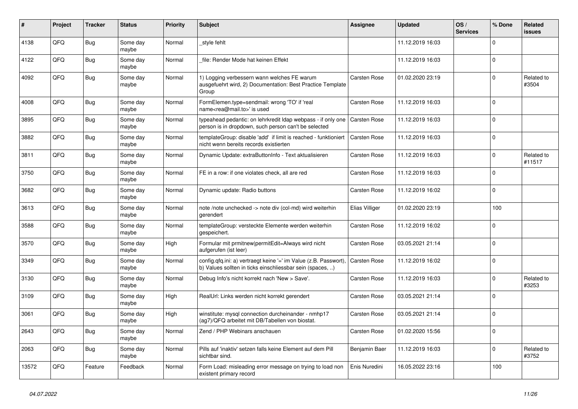| ∦     | Project | <b>Tracker</b> | <b>Status</b>     | <b>Priority</b> | <b>Subject</b>                                                                                                                | Assignee            | <b>Updated</b>   | OS/<br><b>Services</b> | % Done      | Related<br><b>issues</b> |
|-------|---------|----------------|-------------------|-----------------|-------------------------------------------------------------------------------------------------------------------------------|---------------------|------------------|------------------------|-------------|--------------------------|
| 4138  | QFQ     | <b>Bug</b>     | Some day<br>maybe | Normal          | _style fehlt                                                                                                                  |                     | 11.12.2019 16:03 |                        | $\Omega$    |                          |
| 4122  | QFQ     | Bug            | Some day<br>maybe | Normal          | file: Render Mode hat keinen Effekt                                                                                           |                     | 11.12.2019 16:03 |                        | $\mathbf 0$ |                          |
| 4092  | QFQ     | <b>Bug</b>     | Some day<br>maybe | Normal          | 1) Logging verbessern wann welches FE warum<br>ausgefuehrt wird, 2) Documentation: Best Practice Template<br>Group            | Carsten Rose        | 01.02.2020 23:19 |                        | $\Omega$    | Related to<br>#3504      |
| 4008  | QFQ     | Bug            | Some day<br>maybe | Normal          | FormElemen.type=sendmail: wrong 'TO' if 'real<br>name <rea@mail.to>' is used</rea@mail.to>                                    | Carsten Rose        | 11.12.2019 16:03 |                        | $\mathbf 0$ |                          |
| 3895  | QFQ     | <b>Bug</b>     | Some day<br>maybe | Normal          | typeahead pedantic: on lehrkredit Idap webpass - if only one<br>person is in dropdown, such person can't be selected          | <b>Carsten Rose</b> | 11.12.2019 16:03 |                        | $\mathbf 0$ |                          |
| 3882  | QFQ     | <b>Bug</b>     | Some day<br>maybe | Normal          | templateGroup: disable 'add' if limit is reached - funktioniert<br>nicht wenn bereits records existierten                     | Carsten Rose        | 11.12.2019 16:03 |                        | $\Omega$    |                          |
| 3811  | QFQ     | <b>Bug</b>     | Some day<br>maybe | Normal          | Dynamic Update: extraButtonInfo - Text aktualisieren                                                                          | Carsten Rose        | 11.12.2019 16:03 |                        | $\mathbf 0$ | Related to<br>#11517     |
| 3750  | QFQ     | <b>Bug</b>     | Some day<br>maybe | Normal          | FE in a row: if one violates check, all are red                                                                               | Carsten Rose        | 11.12.2019 16:03 |                        | $\Omega$    |                          |
| 3682  | QFQ     | Bug            | Some day<br>maybe | Normal          | Dynamic update: Radio buttons                                                                                                 | Carsten Rose        | 11.12.2019 16:02 |                        | $\mathsf 0$ |                          |
| 3613  | QFQ     | <b>Bug</b>     | Some day<br>maybe | Normal          | note /note unchecked -> note div (col-md) wird weiterhin<br>aerendert                                                         | Elias Villiger      | 01.02.2020 23:19 |                        | 100         |                          |
| 3588  | QFQ     | <b>Bug</b>     | Some day<br>maybe | Normal          | templateGroup: versteckte Elemente werden weiterhin<br>gespeichert.                                                           | Carsten Rose        | 11.12.2019 16:02 |                        | $\Omega$    |                          |
| 3570  | QFQ     | <b>Bug</b>     | Some day<br>maybe | High            | Formular mit prmitnew permitEdit=Always wird nicht<br>aufgerufen (ist leer)                                                   | Carsten Rose        | 03.05.2021 21:14 |                        | $\mathbf 0$ |                          |
| 3349  | QFQ     | <b>Bug</b>     | Some day<br>maybe | Normal          | config.qfq.ini: a) vertraegt keine '=' im Value (z.B. Passwort).<br>b) Values sollten in ticks einschliessbar sein (spaces, ) | Carsten Rose        | 11.12.2019 16:02 |                        | $\Omega$    |                          |
| 3130  | QFQ     | Bug            | Some day<br>maybe | Normal          | Debug Info's nicht korrekt nach 'New > Save'.                                                                                 | Carsten Rose        | 11.12.2019 16:03 |                        | $\mathsf 0$ | Related to<br>#3253      |
| 3109  | QFQ     | Bug            | Some day<br>maybe | High            | RealUrl: Links werden nicht korrekt gerendert                                                                                 | Carsten Rose        | 03.05.2021 21:14 |                        | $\mathbf 0$ |                          |
| 3061  | QFQ     | <b>Bug</b>     | Some day<br>maybe | High            | winstitute: mysql connection durcheinander - nmhp17<br>(ag7)/QFQ arbeitet mit DB/Tabellen von biostat.                        | Carsten Rose        | 03.05.2021 21:14 |                        | $\Omega$    |                          |
| 2643  | QFQ     | Bug            | Some day<br>maybe | Normal          | Zend / PHP Webinars anschauen                                                                                                 | Carsten Rose        | 01.02.2020 15:56 |                        | $\Omega$    |                          |
| 2063  | QFQ     | <b>Bug</b>     | Some day<br>maybe | Normal          | Pills auf 'inaktiv' setzen falls keine Element auf dem Pill<br>sichtbar sind.                                                 | Benjamin Baer       | 11.12.2019 16:03 |                        | $\Omega$    | Related to<br>#3752      |
| 13572 | QFQ     | Feature        | Feedback          | Normal          | Form Load: misleading error message on trying to load non<br>existent primary record                                          | Enis Nuredini       | 16.05.2022 23:16 |                        | 100         |                          |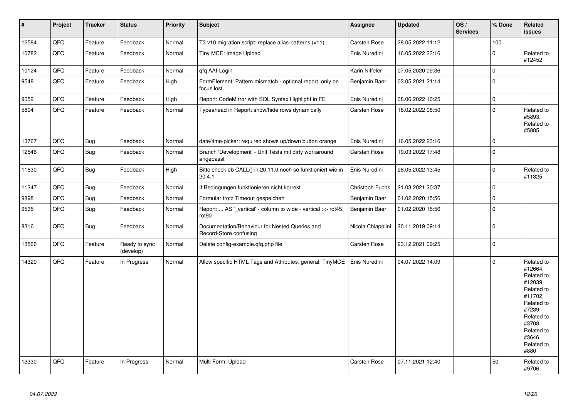| $\pmb{\sharp}$ | Project | <b>Tracker</b> | <b>Status</b>              | <b>Priority</b> | Subject                                                                            | Assignee          | <b>Updated</b>   | OS/<br><b>Services</b> | % Done              | Related<br><b>issues</b>                                                                                                                                              |
|----------------|---------|----------------|----------------------------|-----------------|------------------------------------------------------------------------------------|-------------------|------------------|------------------------|---------------------|-----------------------------------------------------------------------------------------------------------------------------------------------------------------------|
| 12584          | QFQ     | Feature        | Feedback                   | Normal          | T3 v10 migration script: replace alias-patterns (v11)                              | Carsten Rose      | 28.05.2022 11:12 |                        | 100                 |                                                                                                                                                                       |
| 10782          | QFQ     | Feature        | Feedback                   | Normal          | Tiny MCE: Image Upload                                                             | Enis Nuredini     | 16.05.2022 23:16 |                        | $\mathbf 0$         | Related to<br>#12452                                                                                                                                                  |
| 10124          | QFQ     | Feature        | Feedback                   | Normal          | gfg AAI-Login                                                                      | Karin Niffeler    | 07.05.2020 09:36 |                        | $\mathsf 0$         |                                                                                                                                                                       |
| 9548           | QFQ     | Feature        | Feedback                   | High            | FormElement: Pattern mismatch - optional report only on<br>focus lost              | Benjamin Baer     | 03.05.2021 21:14 |                        | $\mathbf 0$         |                                                                                                                                                                       |
| 9052           | QFQ     | Feature        | Feedback                   | High            | Report: CodeMirror with SQL Syntax Highlight in FE                                 | Enis Nuredini     | 08.06.2022 10:25 |                        | $\mathsf 0$         |                                                                                                                                                                       |
| 5894           | QFQ     | Feature        | Feedback                   | Normal          | Typeahead in Report: show/hide rows dynamically                                    | Carsten Rose      | 18.02.2022 08:50 |                        | $\mathsf{O}\xspace$ | Related to<br>#5893.<br>Related to<br>#5885                                                                                                                           |
| 13767          | QFQ     | <b>Bug</b>     | Feedback                   | Normal          | date/time-picker: required shows up/down button orange                             | Enis Nuredini     | 16.05.2022 23:16 |                        | $\mathbf 0$         |                                                                                                                                                                       |
| 12546          | QFQ     | <b>Bug</b>     | Feedback                   | Normal          | Branch 'Development' - Unit Tests mit dirty workaround<br>angepasst                | Carsten Rose      | 19.03.2022 17:48 |                        | $\mathbf 0$         |                                                                                                                                                                       |
| 11630          | QFQ     | <b>Bug</b>     | Feedback                   | High            | Bitte check ob CALL() in 20.11.0 noch so funktioniert wie in<br>20.4.1             | Enis Nuredini     | 28.05.2022 13:45 |                        | $\Omega$            | Related to<br>#11325                                                                                                                                                  |
| 11347          | QFQ     | <b>Bug</b>     | Feedback                   | Normal          | If Bedingungen funktionieren nicht korrekt                                         | Christoph Fuchs   | 21.03.2021 20:37 |                        | $\mathbf 0$         |                                                                                                                                                                       |
| 9898           | QFQ     | <b>Bug</b>     | Feedback                   | Normal          | Formular trotz Timeout gespeichert                                                 | Benjamin Baer     | 01.02.2020 15:56 |                        | $\pmb{0}$           |                                                                                                                                                                       |
| 9535           | QFQ     | <b>Bug</b>     | Feedback                   | Normal          | Report:  AS '_vertical' - column to wide - vertical >> rot45,<br>rot <sub>90</sub> | Benjamin Baer     | 01.02.2020 15:56 |                        | $\mathbf 0$         |                                                                                                                                                                       |
| 8316           | QFQ     | Bug            | Feedback                   | Normal          | Documentation/Behaviour for Nested Queries and<br>Record-Store confusing           | Nicola Chiapolini | 20.11.2019 09:14 |                        | $\mathbf 0$         |                                                                                                                                                                       |
| 13566          | QFQ     | Feature        | Ready to sync<br>(develop) | Normal          | Delete config-example.gfg.php file                                                 | Carsten Rose      | 23.12.2021 09:25 |                        | $\pmb{0}$           |                                                                                                                                                                       |
| 14320          | QFQ     | Feature        | In Progress                | Normal          | Allow specific HTML Tags and Attributes: general, TinyMCE                          | Enis Nuredini     | 04.07.2022 14:09 |                        | $\mathbf 0$         | Related to<br>#12664,<br>Related to<br>#12039,<br>Related to<br>#11702,<br>Related to<br>#7239,<br>Related to<br>#3708,<br>Related to<br>#3646,<br>Related to<br>#880 |
| 13330          | QFQ     | Feature        | In Progress                | Normal          | Multi Form: Upload                                                                 | Carsten Rose      | 07.11.2021 12:40 |                        | 50                  | Related to<br>#9706                                                                                                                                                   |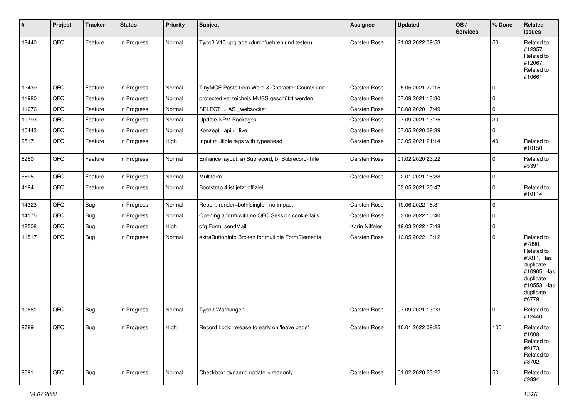| #     | Project | <b>Tracker</b> | <b>Status</b> | <b>Priority</b> | Subject                                          | <b>Assignee</b>     | <b>Updated</b>   | OS/<br><b>Services</b> | % Done      | Related<br><b>issues</b>                                                                                                       |
|-------|---------|----------------|---------------|-----------------|--------------------------------------------------|---------------------|------------------|------------------------|-------------|--------------------------------------------------------------------------------------------------------------------------------|
| 12440 | QFQ     | Feature        | In Progress   | Normal          | Typo3 V10 upgrade (durchfuehren und testen)      | Carsten Rose        | 21.03.2022 09:53 |                        | 50          | Related to<br>#12357,<br>Related to<br>#12067,<br>Related to<br>#10661                                                         |
| 12439 | QFQ     | Feature        | In Progress   | Normal          | TinyMCE Paste from Word & Character Count/Limit  | Carsten Rose        | 05.05.2021 22:15 |                        | $\mathbf 0$ |                                                                                                                                |
| 11980 | QFQ     | Feature        | In Progress   | Normal          | protected verzeichnis MUSS geschützt werden      | Carsten Rose        | 07.09.2021 13:30 |                        | $\mathbf 0$ |                                                                                                                                |
| 11076 | QFQ     | Feature        | In Progress   | Normal          | SELECT  AS _websocket                            | Carsten Rose        | 30.08.2020 17:49 |                        | $\mathbf 0$ |                                                                                                                                |
| 10793 | QFQ     | Feature        | In Progress   | Normal          | <b>Update NPM Packages</b>                       | Carsten Rose        | 07.09.2021 13:25 |                        | 30          |                                                                                                                                |
| 10443 | QFQ     | Feature        | In Progress   | Normal          | Konzept_api / _live                              | Carsten Rose        | 07.05.2020 09:39 |                        | $\mathbf 0$ |                                                                                                                                |
| 9517  | QFQ     | Feature        | In Progress   | High            | Input multiple tags with typeahead               | Carsten Rose        | 03.05.2021 21:14 |                        | 40          | Related to<br>#10150                                                                                                           |
| 6250  | QFQ     | Feature        | In Progress   | Normal          | Enhance layout: a) Subrecord, b) Subrecord-Title | <b>Carsten Rose</b> | 01.02.2020 23:22 |                        | $\mathbf 0$ | Related to<br>#5391                                                                                                            |
| 5695  | QFQ     | Feature        | In Progress   | Normal          | Multiform                                        | Carsten Rose        | 02.01.2021 18:38 |                        | $\mathbf 0$ |                                                                                                                                |
| 4194  | QFQ     | Feature        | In Progress   | Normal          | Bootstrap 4 ist jetzt offiziel                   |                     | 03.05.2021 20:47 |                        | $\mathbf 0$ | Related to<br>#10114                                                                                                           |
| 14323 | QFQ     | <b>Bug</b>     | In Progress   | Normal          | Report: render=both single - no impact           | <b>Carsten Rose</b> | 19.06.2022 18:31 |                        | $\mathbf 0$ |                                                                                                                                |
| 14175 | QFQ     | Bug            | In Progress   | Normal          | Opening a form with no QFQ Session cookie fails  | Carsten Rose        | 03.06.2022 10:40 |                        | $\mathbf 0$ |                                                                                                                                |
| 12508 | QFQ     | <b>Bug</b>     | In Progress   | High            | qfq Form: sendMail                               | Karin Niffeler      | 19.03.2022 17:48 |                        | $\mathbf 0$ |                                                                                                                                |
| 11517 | QFQ     | Bug            | In Progress   | Normal          | extraButtonInfo Broken for multiple FormElements | Carsten Rose        | 12.05.2022 13:12 |                        | $\pmb{0}$   | Related to<br>#7890,<br>Related to<br>#3811, Has<br>duplicate<br>#10905, Has<br>duplicate<br>#10553, Has<br>duplicate<br>#6779 |
| 10661 | QFQ     | Bug            | In Progress   | Normal          | Typo3 Warnungen                                  | Carsten Rose        | 07.09.2021 13:23 |                        | $\mathbf 0$ | Related to<br>#12440                                                                                                           |
| 9789  | QFO     | Bug            | In Progress   | High            | Record Lock: release to early on 'leave page'    | Carsten Rose        | 10.01.2022 09:25 |                        | 100         | Related to<br>#10081,<br>Related to<br>#9173,<br>Related to<br>#8702                                                           |
| 9691  | QFQ     | <b>Bug</b>     | In Progress   | Normal          | Checkbox: dynamic update > readonly              | Carsten Rose        | 01.02.2020 23:22 |                        | 50          | Related to<br>#9834                                                                                                            |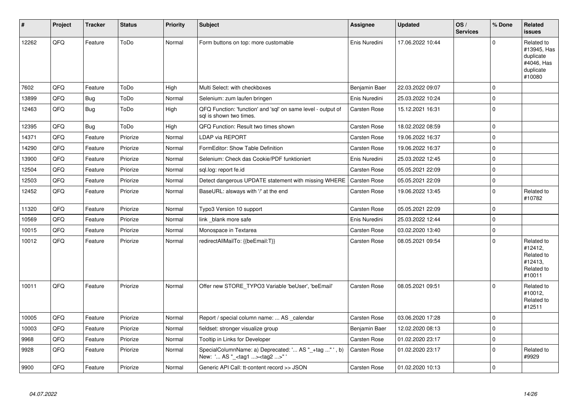| #     | Project | <b>Tracker</b> | <b>Status</b> | <b>Priority</b> | <b>Subject</b>                                                                                    | Assignee      | <b>Updated</b>   | OS/<br><b>Services</b> | % Done              | Related<br><b>issues</b>                                                    |
|-------|---------|----------------|---------------|-----------------|---------------------------------------------------------------------------------------------------|---------------|------------------|------------------------|---------------------|-----------------------------------------------------------------------------|
| 12262 | QFQ     | Feature        | ToDo          | Normal          | Form buttons on top: more customable                                                              | Enis Nuredini | 17.06.2022 10:44 |                        | $\Omega$            | Related to<br>#13945, Has<br>duplicate<br>#4046, Has<br>duplicate<br>#10080 |
| 7602  | QFQ     | Feature        | ToDo          | High            | Multi Select: with checkboxes                                                                     | Benjamin Baer | 22.03.2022 09:07 |                        | $\mathsf{O}\xspace$ |                                                                             |
| 13899 | QFQ     | Bug            | ToDo          | Normal          | Selenium: zum laufen bringen                                                                      | Enis Nuredini | 25.03.2022 10:24 |                        | $\mathsf 0$         |                                                                             |
| 12463 | QFQ     | <b>Bug</b>     | ToDo          | High            | QFQ Function: 'function' and 'sql' on same level - output of<br>sql is shown two times.           | Carsten Rose  | 15.12.2021 16:31 |                        | $\mathbf 0$         |                                                                             |
| 12395 | QFQ     | <b>Bug</b>     | ToDo          | High            | QFQ Function: Result two times shown                                                              | Carsten Rose  | 18.02.2022 08:59 |                        | $\mathbf 0$         |                                                                             |
| 14371 | QFQ     | Feature        | Priorize      | Normal          | LDAP via REPORT                                                                                   | Carsten Rose  | 19.06.2022 16:37 |                        | $\mathsf{O}\xspace$ |                                                                             |
| 14290 | QFQ     | Feature        | Priorize      | Normal          | FormEditor: Show Table Definition                                                                 | Carsten Rose  | 19.06.2022 16:37 |                        | $\mathsf{O}\xspace$ |                                                                             |
| 13900 | QFQ     | Feature        | Priorize      | Normal          | Selenium: Check das Cookie/PDF funktioniert                                                       | Enis Nuredini | 25.03.2022 12:45 |                        | $\mathbf 0$         |                                                                             |
| 12504 | QFQ     | Feature        | Priorize      | Normal          | sql.log: report fe.id                                                                             | Carsten Rose  | 05.05.2021 22:09 |                        | $\mathsf{O}\xspace$ |                                                                             |
| 12503 | QFQ     | Feature        | Priorize      | Normal          | Detect dangerous UPDATE statement with missing WHERE                                              | Carsten Rose  | 05.05.2021 22:09 |                        | $\pmb{0}$           |                                                                             |
| 12452 | QFQ     | Feature        | Priorize      | Normal          | BaseURL: alsways with '/' at the end                                                              | Carsten Rose  | 19.06.2022 13:45 |                        | $\mathbf 0$         | Related to<br>#10782                                                        |
| 11320 | QFQ     | Feature        | Priorize      | Normal          | Typo3 Version 10 support                                                                          | Carsten Rose  | 05.05.2021 22:09 |                        | $\mathbf 0$         |                                                                             |
| 10569 | QFQ     | Feature        | Priorize      | Normal          | link_blank more safe                                                                              | Enis Nuredini | 25.03.2022 12:44 |                        | $\mathbf 0$         |                                                                             |
| 10015 | QFQ     | Feature        | Priorize      | Normal          | Monospace in Textarea                                                                             | Carsten Rose  | 03.02.2020 13:40 |                        | $\pmb{0}$           |                                                                             |
| 10012 | QFQ     | Feature        | Priorize      | Normal          | redirectAllMailTo: {{beEmail:T}}                                                                  | Carsten Rose  | 08.05.2021 09:54 |                        | $\mathbf 0$         | Related to<br>#12412,<br>Related to<br>#12413,<br>Related to<br>#10011      |
| 10011 | QFQ     | Feature        | Priorize      | Normal          | Offer new STORE_TYPO3 Variable 'beUser', 'beEmail'                                                | Carsten Rose  | 08.05.2021 09:51 |                        | $\Omega$            | Related to<br>#10012,<br>Related to<br>#12511                               |
| 10005 | QFQ     | Feature        | Priorize      | Normal          | Report / special column name:  AS calendar                                                        | Carsten Rose  | 03.06.2020 17:28 |                        | $\Omega$            |                                                                             |
| 10003 | QFQ     | Feature        | Priorize      | Normal          | fieldset: stronger visualize group                                                                | Benjamin Baer | 12.02.2020 08:13 |                        | $\mathbf 0$         |                                                                             |
| 9968  | QFQ     | Feature        | Priorize      | Normal          | Tooltip in Links for Developer                                                                    | Carsten Rose  | 01.02.2020 23:17 |                        | $\pmb{0}$           |                                                                             |
| 9928  | QFQ     | Feature        | Priorize      | Normal          | SpecialColumnName: a) Deprecated: ' AS "_+tag " ', b)<br>New: ' AS "_ <tag1><tag2>"</tag2></tag1> | Carsten Rose  | 01.02.2020 23:17 |                        | $\mathbf 0$         | Related to<br>#9929                                                         |
| 9900  | QFQ     | Feature        | Priorize      | Normal          | Generic API Call: tt-content record >> JSON                                                       | Carsten Rose  | 01.02.2020 10:13 |                        | $\mathbf 0$         |                                                                             |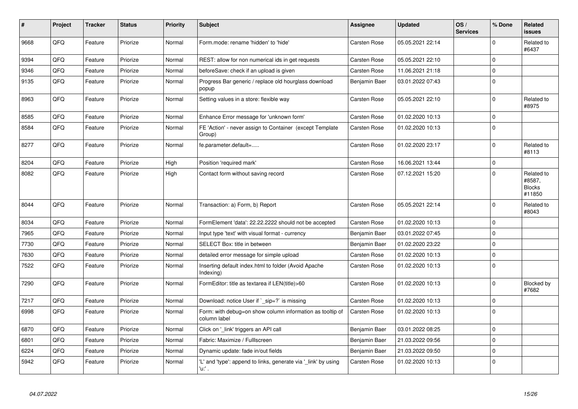| $\pmb{\sharp}$ | Project | <b>Tracker</b> | <b>Status</b> | <b>Priority</b> | <b>Subject</b>                                                            | Assignee            | <b>Updated</b>   | OS/<br><b>Services</b> | % Done      | Related<br><b>issues</b>                        |
|----------------|---------|----------------|---------------|-----------------|---------------------------------------------------------------------------|---------------------|------------------|------------------------|-------------|-------------------------------------------------|
| 9668           | QFQ     | Feature        | Priorize      | Normal          | Form.mode: rename 'hidden' to 'hide'                                      | <b>Carsten Rose</b> | 05.05.2021 22:14 |                        | $\mathbf 0$ | Related to<br>#6437                             |
| 9394           | QFQ     | Feature        | Priorize      | Normal          | REST: allow for non numerical ids in get requests                         | <b>Carsten Rose</b> | 05.05.2021 22:10 |                        | l o         |                                                 |
| 9346           | QFQ     | Feature        | Priorize      | Normal          | beforeSave: check if an upload is given                                   | Carsten Rose        | 11.06.2021 21:18 |                        | I٥          |                                                 |
| 9135           | QFQ     | Feature        | Priorize      | Normal          | Progress Bar generic / replace old hourglass download<br>popup            | Benjamin Baer       | 03.01.2022 07:43 |                        | ١o          |                                                 |
| 8963           | QFQ     | Feature        | Priorize      | Normal          | Setting values in a store: flexible way                                   | <b>Carsten Rose</b> | 05.05.2021 22:10 |                        | l O         | Related to<br>#8975                             |
| 8585           | QFQ     | Feature        | Priorize      | Normal          | Enhance Error message for 'unknown form'                                  | <b>Carsten Rose</b> | 01.02.2020 10:13 |                        | $\mathbf 0$ |                                                 |
| 8584           | QFQ     | Feature        | Priorize      | Normal          | FE 'Action' - never assign to Container (except Template)<br>Group)       | Carsten Rose        | 01.02.2020 10:13 |                        | ١o          |                                                 |
| 8277           | QFQ     | Feature        | Priorize      | Normal          | fe.parameter.default=                                                     | Carsten Rose        | 01.02.2020 23:17 |                        | $\Omega$    | Related to<br>#8113                             |
| 8204           | QFQ     | Feature        | Priorize      | High            | Position 'required mark'                                                  | Carsten Rose        | 16.06.2021 13:44 |                        | $\mathbf 0$ |                                                 |
| 8082           | QFQ     | Feature        | Priorize      | High            | Contact form without saving record                                        | Carsten Rose        | 07.12.2021 15:20 |                        | $\Omega$    | Related to<br>#8587,<br><b>Blocks</b><br>#11850 |
| 8044           | QFQ     | Feature        | Priorize      | Normal          | Transaction: a) Form, b) Report                                           | Carsten Rose        | 05.05.2021 22:14 |                        | $\Omega$    | Related to<br>#8043                             |
| 8034           | QFQ     | Feature        | Priorize      | Normal          | FormElement 'data': 22.22.2222 should not be accepted                     | <b>Carsten Rose</b> | 01.02.2020 10:13 |                        | l o         |                                                 |
| 7965           | QFQ     | Feature        | Priorize      | Normal          | Input type 'text' with visual format - currency                           | Benjamin Baer       | 03.01.2022 07:45 |                        | $\Omega$    |                                                 |
| 7730           | QFQ     | Feature        | Priorize      | Normal          | SELECT Box: title in between                                              | Benjamin Baer       | 01.02.2020 23:22 |                        | l 0         |                                                 |
| 7630           | QFQ     | Feature        | Priorize      | Normal          | detailed error message for simple upload                                  | Carsten Rose        | 01.02.2020 10:13 |                        | $\Omega$    |                                                 |
| 7522           | QFQ     | Feature        | Priorize      | Normal          | Inserting default index.html to folder (Avoid Apache<br>Indexing)         | Carsten Rose        | 01.02.2020 10:13 |                        | l 0         |                                                 |
| 7290           | QFQ     | Feature        | Priorize      | Normal          | FormEditor: title as textarea if LEN(title)>60                            | <b>Carsten Rose</b> | 01.02.2020 10:13 |                        | ١o          | Blocked by<br>#7682                             |
| 7217           | QFQ     | Feature        | Priorize      | Normal          | Download: notice User if ` sip=?` is missing                              | <b>Carsten Rose</b> | 01.02.2020 10:13 |                        | l 0         |                                                 |
| 6998           | QFQ     | Feature        | Priorize      | Normal          | Form: with debug=on show column information as tooltip of<br>column label | Carsten Rose        | 01.02.2020 10:13 |                        | I٥          |                                                 |
| 6870           | QFQ     | Feature        | Priorize      | Normal          | Click on '_link' triggers an API call                                     | Benjamin Baer       | 03.01.2022 08:25 |                        | I٥          |                                                 |
| 6801           | QFQ     | Feature        | Priorize      | Normal          | Fabric: Maximize / Fulllscreen                                            | Benjamin Baer       | 21.03.2022 09:56 |                        | I٥          |                                                 |
| 6224           | QFO     | Feature        | Priorize      | Normal          | Dynamic update: fade in/out fields                                        | Benjamin Baer       | 21.03.2022 09:50 |                        | I٥          |                                                 |
| 5942           | QFQ     | Feature        | Priorize      | Normal          | 'L' and 'type': append to links, generate via 'link' by using<br>'u. .    | Carsten Rose        | 01.02.2020 10:13 |                        | ١o          |                                                 |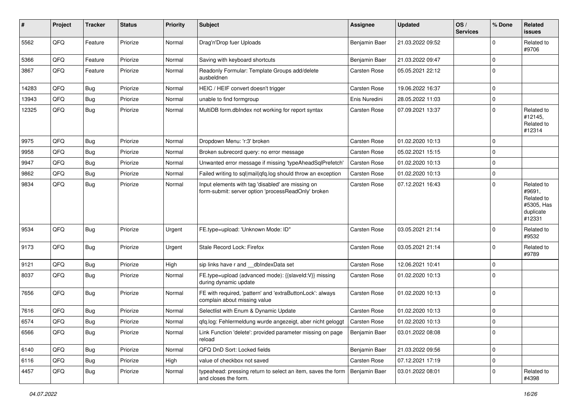| ∦     | Project | <b>Tracker</b> | <b>Status</b> | <b>Priority</b> | Subject                                                                                                  | <b>Assignee</b>     | <b>Updated</b>   | OS/<br><b>Services</b> | % Done      | Related<br><b>issues</b>                                                |
|-------|---------|----------------|---------------|-----------------|----------------------------------------------------------------------------------------------------------|---------------------|------------------|------------------------|-------------|-------------------------------------------------------------------------|
| 5562  | QFQ     | Feature        | Priorize      | Normal          | Drag'n'Drop fuer Uploads                                                                                 | Benjamin Baer       | 21.03.2022 09:52 |                        | $\mathbf 0$ | Related to<br>#9706                                                     |
| 5366  | QFQ     | Feature        | Priorize      | Normal          | Saving with keyboard shortcuts                                                                           | Benjamin Baer       | 21.03.2022 09:47 |                        | $\mathbf 0$ |                                                                         |
| 3867  | QFQ     | Feature        | Priorize      | Normal          | Readonly Formular: Template Groups add/delete<br>ausbeldnen                                              | Carsten Rose        | 05.05.2021 22:12 |                        | $\mathbf 0$ |                                                                         |
| 14283 | QFQ     | Bug            | Priorize      | Normal          | HEIC / HEIF convert doesn't trigger                                                                      | Carsten Rose        | 19.06.2022 16:37 |                        | $\mathbf 0$ |                                                                         |
| 13943 | QFQ     | <b>Bug</b>     | Priorize      | Normal          | unable to find formgroup                                                                                 | Enis Nuredini       | 28.05.2022 11:03 |                        | $\mathbf 0$ |                                                                         |
| 12325 | QFQ     | Bug            | Priorize      | Normal          | MultiDB form.dblndex not working for report syntax                                                       | Carsten Rose        | 07.09.2021 13:37 |                        | $\mathbf 0$ | Related to<br>#12145,<br>Related to<br>#12314                           |
| 9975  | QFQ     | <b>Bug</b>     | Priorize      | Normal          | Dropdown Menu: 'r:3' broken                                                                              | Carsten Rose        | 01.02.2020 10:13 |                        | $\mathbf 0$ |                                                                         |
| 9958  | QFQ     | Bug            | Priorize      | Normal          | Broken subrecord query: no error message                                                                 | Carsten Rose        | 05.02.2021 15:15 |                        | $\mathbf 0$ |                                                                         |
| 9947  | QFQ     | Bug            | Priorize      | Normal          | Unwanted error message if missing 'typeAheadSqlPrefetch'                                                 | Carsten Rose        | 01.02.2020 10:13 |                        | $\mathbf 0$ |                                                                         |
| 9862  | QFQ     | Bug            | Priorize      | Normal          | Failed writing to sql mail qfq.log should throw an exception                                             | Carsten Rose        | 01.02.2020 10:13 |                        | $\mathbf 0$ |                                                                         |
| 9834  | QFQ     | <b>Bug</b>     | Priorize      | Normal          | Input elements with tag 'disabled' are missing on<br>form-submit: server option 'processReadOnly' broken | Carsten Rose        | 07.12.2021 16:43 |                        | $\mathbf 0$ | Related to<br>#9691,<br>Related to<br>#5305, Has<br>duplicate<br>#12331 |
| 9534  | QFQ     | <b>Bug</b>     | Priorize      | Urgent          | FE.type=upload: 'Unknown Mode: ID"                                                                       | <b>Carsten Rose</b> | 03.05.2021 21:14 |                        | $\mathbf 0$ | Related to<br>#9532                                                     |
| 9173  | QFQ     | <b>Bug</b>     | Priorize      | Urgent          | Stale Record Lock: Firefox                                                                               | Carsten Rose        | 03.05.2021 21:14 |                        | $\mathbf 0$ | Related to<br>#9789                                                     |
| 9121  | QFQ     | <b>Bug</b>     | Priorize      | High            | sip links have r and __dbIndexData set                                                                   | <b>Carsten Rose</b> | 12.06.2021 10:41 |                        | $\mathbf 0$ |                                                                         |
| 8037  | QFQ     | <b>Bug</b>     | Priorize      | Normal          | FE.type=upload (advanced mode): {{slaveld:V}} missing<br>during dynamic update                           | Carsten Rose        | 01.02.2020 10:13 |                        | $\mathbf 0$ |                                                                         |
| 7656  | QFQ     | Bug            | Priorize      | Normal          | FE with required, 'pattern' and 'extraButtonLock': always<br>complain about missing value                | Carsten Rose        | 01.02.2020 10:13 |                        | $\mathbf 0$ |                                                                         |
| 7616  | QFQ     | <b>Bug</b>     | Priorize      | Normal          | Selectlist with Enum & Dynamic Update                                                                    | Carsten Rose        | 01.02.2020 10:13 |                        | $\mathbf 0$ |                                                                         |
| 6574  | QFQ     | <b>Bug</b>     | Priorize      | Normal          | qfq.log: Fehlermeldung wurde angezeigt, aber nicht geloggt                                               | Carsten Rose        | 01.02.2020 10:13 |                        | $\mathbf 0$ |                                                                         |
| 6566  | QFO     | <b>Bug</b>     | Priorize      | Normal          | Link Function 'delete': provided parameter missing on page<br>reload                                     | Benjamin Baer       | 03.01.2022 08:08 |                        | $\mathbf 0$ |                                                                         |
| 6140  | QFQ     | <b>Bug</b>     | Priorize      | Normal          | QFQ DnD Sort: Locked fields                                                                              | Benjamin Baer       | 21.03.2022 09:56 |                        | $\mathbf 0$ |                                                                         |
| 6116  | QFQ     | <b>Bug</b>     | Priorize      | High            | value of checkbox not saved                                                                              | Carsten Rose        | 07.12.2021 17:19 |                        | $\mathbf 0$ |                                                                         |
| 4457  | QFQ     | <b>Bug</b>     | Priorize      | Normal          | typeahead: pressing return to select an item, saves the form<br>and closes the form.                     | Benjamin Baer       | 03.01.2022 08:01 |                        | 0           | Related to<br>#4398                                                     |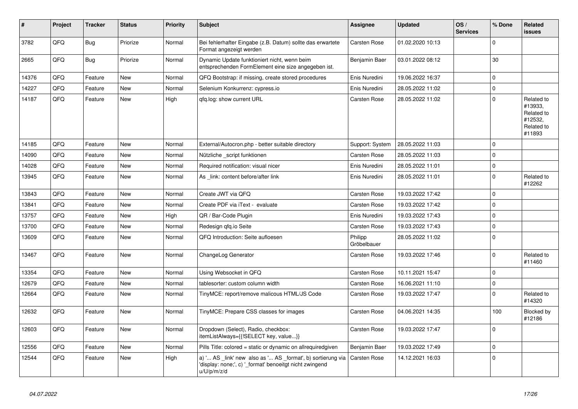| $\vert$ # | Project | <b>Tracker</b> | <b>Status</b> | <b>Priority</b> | <b>Subject</b>                                                                                                                        | <b>Assignee</b>        | <b>Updated</b>   | OS/<br><b>Services</b> | % Done      | Related<br><b>issues</b>                                               |
|-----------|---------|----------------|---------------|-----------------|---------------------------------------------------------------------------------------------------------------------------------------|------------------------|------------------|------------------------|-------------|------------------------------------------------------------------------|
| 3782      | QFQ     | Bug            | Priorize      | Normal          | Bei fehlerhafter Eingabe (z.B. Datum) sollte das erwartete<br>Format angezeigt werden                                                 | <b>Carsten Rose</b>    | 01.02.2020 10:13 |                        | $\mathbf 0$ |                                                                        |
| 2665      | QFQ     | <b>Bug</b>     | Priorize      | Normal          | Dynamic Update funktioniert nicht, wenn beim<br>entsprechenden FormElement eine size angegeben ist.                                   | Benjamin Baer          | 03.01.2022 08:12 |                        | 30          |                                                                        |
| 14376     | QFQ     | Feature        | <b>New</b>    | Normal          | QFQ Bootstrap: if missing, create stored procedures                                                                                   | Enis Nuredini          | 19.06.2022 16:37 |                        | $\mathbf 0$ |                                                                        |
| 14227     | QFQ     | Feature        | <b>New</b>    | Normal          | Selenium Konkurrenz: cypress.io                                                                                                       | Enis Nuredini          | 28.05.2022 11:02 |                        | $\mathbf 0$ |                                                                        |
| 14187     | QFQ     | Feature        | <b>New</b>    | High            | qfq.log: show current URL                                                                                                             | Carsten Rose           | 28.05.2022 11:02 |                        | $\mathbf 0$ | Related to<br>#13933,<br>Related to<br>#12532,<br>Related to<br>#11893 |
| 14185     | QFQ     | Feature        | New           | Normal          | External/Autocron.php - better suitable directory                                                                                     | Support: System        | 28.05.2022 11:03 |                        | $\mathbf 0$ |                                                                        |
| 14090     | QFQ     | Feature        | <b>New</b>    | Normal          | Nützliche script funktionen                                                                                                           | <b>Carsten Rose</b>    | 28.05.2022 11:03 |                        | $\mathbf 0$ |                                                                        |
| 14028     | QFQ     | Feature        | <b>New</b>    | Normal          | Required notification: visual nicer                                                                                                   | Enis Nuredini          | 28.05.2022 11:01 |                        | $\mathbf 0$ |                                                                        |
| 13945     | QFQ     | Feature        | <b>New</b>    | Normal          | As link: content before/after link                                                                                                    | Enis Nuredini          | 28.05.2022 11:01 |                        | $\pmb{0}$   | Related to<br>#12262                                                   |
| 13843     | QFQ     | Feature        | <b>New</b>    | Normal          | Create JWT via QFQ                                                                                                                    | Carsten Rose           | 19.03.2022 17:42 |                        | $\mathbf 0$ |                                                                        |
| 13841     | QFQ     | Feature        | <b>New</b>    | Normal          | Create PDF via iText - evaluate                                                                                                       | <b>Carsten Rose</b>    | 19.03.2022 17:42 |                        | $\mathbf 0$ |                                                                        |
| 13757     | QFQ     | Feature        | <b>New</b>    | High            | QR / Bar-Code Plugin                                                                                                                  | Enis Nuredini          | 19.03.2022 17:43 |                        | $\mathbf 0$ |                                                                        |
| 13700     | QFQ     | Feature        | <b>New</b>    | Normal          | Redesign qfq.io Seite                                                                                                                 | Carsten Rose           | 19.03.2022 17:43 |                        | $\pmb{0}$   |                                                                        |
| 13609     | QFQ     | Feature        | <b>New</b>    | Normal          | QFQ Introduction: Seite aufloesen                                                                                                     | Philipp<br>Gröbelbauer | 28.05.2022 11:02 |                        | $\Omega$    |                                                                        |
| 13467     | QFQ     | Feature        | <b>New</b>    | Normal          | ChangeLog Generator                                                                                                                   | Carsten Rose           | 19.03.2022 17:46 |                        | $\mathbf 0$ | Related to<br>#11460                                                   |
| 13354     | QFQ     | Feature        | <b>New</b>    | Normal          | Using Websocket in QFQ                                                                                                                | Carsten Rose           | 10.11.2021 15:47 |                        | $\pmb{0}$   |                                                                        |
| 12679     | QFQ     | Feature        | New           | Normal          | tablesorter: custom column width                                                                                                      | Carsten Rose           | 16.06.2021 11:10 |                        | $\mathbf 0$ |                                                                        |
| 12664     | QFQ     | Feature        | New           | Normal          | TinyMCE: report/remove malicous HTML/JS Code                                                                                          | Carsten Rose           | 19.03.2022 17:47 |                        | $\mathbf 0$ | Related to<br>#14320                                                   |
| 12632     | QFQ     | Feature        | <b>New</b>    | Normal          | TinyMCE: Prepare CSS classes for images                                                                                               | <b>Carsten Rose</b>    | 04.06.2021 14:35 |                        | 100         | Blocked by<br>#12186                                                   |
| 12603     | QFQ     | Feature        | <b>New</b>    | Normal          | Dropdown (Select), Radio, checkbox:<br>itemListAlways={{!SELECT key, value}}                                                          | Carsten Rose           | 19.03.2022 17:47 |                        | $\Omega$    |                                                                        |
| 12556     | QFQ     | Feature        | <b>New</b>    | Normal          | Pills Title: colored = static or dynamic on allrequiredgiven                                                                          | Benjamin Baer          | 19.03.2022 17:49 |                        | $\mathbf 0$ |                                                                        |
| 12544     | QFQ     | Feature        | New           | High            | a) ' AS _link' new also as ' AS _format', b) sortierung via<br>'display: none;', c) '_format' benoeitgt nicht zwingend<br>u/U/p/m/z/d | Carsten Rose           | 14.12.2021 16:03 |                        | $\mathbf 0$ |                                                                        |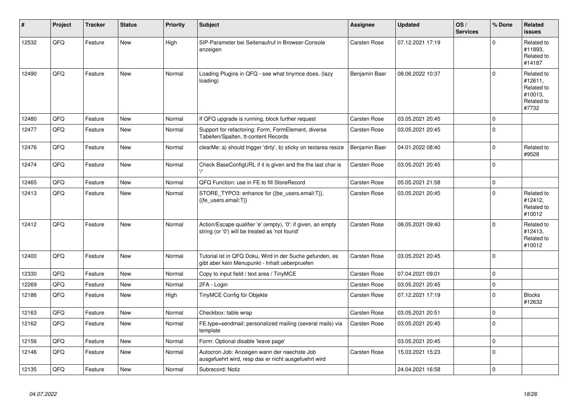| #     | Project | <b>Tracker</b> | <b>Status</b> | <b>Priority</b> | <b>Subject</b>                                                                                                 | Assignee            | <b>Updated</b>   | OS/<br><b>Services</b> | % Done      | Related<br><b>issues</b>                                              |
|-------|---------|----------------|---------------|-----------------|----------------------------------------------------------------------------------------------------------------|---------------------|------------------|------------------------|-------------|-----------------------------------------------------------------------|
| 12532 | QFQ     | Feature        | <b>New</b>    | High            | SIP-Parameter bei Seitenaufruf in Browser-Console<br>anzeigen                                                  | Carsten Rose        | 07.12.2021 17:19 |                        | $\Omega$    | Related to<br>#11893.<br>Related to<br>#14187                         |
| 12490 | QFQ     | Feature        | <b>New</b>    | Normal          | Loading Plugins in QFQ - see what tinymce does. (lazy<br>loading)                                              | Benjamin Baer       | 08.06.2022 10:37 |                        | $\Omega$    | Related to<br>#12611.<br>Related to<br>#10013,<br>Related to<br>#7732 |
| 12480 | QFQ     | Feature        | <b>New</b>    | Normal          | If QFQ upgrade is running, block further request                                                               | <b>Carsten Rose</b> | 03.05.2021 20:45 |                        | $\Omega$    |                                                                       |
| 12477 | QFQ     | Feature        | <b>New</b>    | Normal          | Support for refactoring: Form, FormElement, diverse<br>Tabellen/Spalten, tt-content Records                    | Carsten Rose        | 03.05.2021 20:45 |                        | $\Omega$    |                                                                       |
| 12476 | QFQ     | Feature        | <b>New</b>    | Normal          | clearMe: a) should trigger 'dirty', b) sticky on textarea resize                                               | Benjamin Baer       | 04.01.2022 08:40 |                        | $\Omega$    | Related to<br>#9528                                                   |
| 12474 | QFQ     | Feature        | New           | Normal          | Check BaseConfigURL if it is given and the the last char is                                                    | Carsten Rose        | 03.05.2021 20:45 |                        | $\mathbf 0$ |                                                                       |
| 12465 | QFQ     | Feature        | <b>New</b>    | Normal          | QFQ Function: use in FE to fill StoreRecord                                                                    | Carsten Rose        | 05.05.2021 21:58 |                        | $\mathbf 0$ |                                                                       |
| 12413 | QFQ     | Feature        | New           | Normal          | STORE TYPO3: enhance for {{be users.email:T}},<br>{{fe users.email:T}}                                         | Carsten Rose        | 03.05.2021 20:45 |                        | $\Omega$    | Related to<br>#12412,<br>Related to<br>#10012                         |
| 12412 | QFQ     | Feature        | <b>New</b>    | Normal          | Action/Escape qualifier 'e' (empty), '0': if given, an empty<br>string (or '0') will be treated as 'not found' | Carsten Rose        | 08.05.2021 09:40 |                        | $\Omega$    | Related to<br>#12413,<br>Related to<br>#10012                         |
| 12400 | QFQ     | Feature        | New           | Normal          | Tutorial ist in QFQ Doku, Wird in der Suche gefunden, es<br>gibt aber kein Menupunkt - Inhalt ueberpruefen     | Carsten Rose        | 03.05.2021 20:45 |                        | $\Omega$    |                                                                       |
| 12330 | QFQ     | Feature        | <b>New</b>    | Normal          | Copy to input field / text area / TinyMCE                                                                      | Carsten Rose        | 07.04.2021 09:01 |                        | $\mathbf 0$ |                                                                       |
| 12269 | QFQ     | Feature        | <b>New</b>    | Normal          | 2FA - Login                                                                                                    | <b>Carsten Rose</b> | 03.05.2021 20:45 |                        | $\mathbf 0$ |                                                                       |
| 12186 | QFQ     | Feature        | New           | High            | TinyMCE Config für Objekte                                                                                     | Carsten Rose        | 07.12.2021 17:19 |                        | $\mathbf 0$ | <b>Blocks</b><br>#12632                                               |
| 12163 | QFQ     | Feature        | New           | Normal          | Checkbox: table wrap                                                                                           | <b>Carsten Rose</b> | 03.05.2021 20:51 |                        | $\mathbf 0$ |                                                                       |
| 12162 | QFQ     | Feature        | New           | Normal          | FE.type=sendmail: personalized mailing (several mails) via<br>template                                         | Carsten Rose        | 03.05.2021 20:45 |                        | $\pmb{0}$   |                                                                       |
| 12156 | QFQ     | Feature        | <b>New</b>    | Normal          | Form: Optional disable 'leave page'                                                                            |                     | 03.05.2021 20:45 |                        | $\mathbf 0$ |                                                                       |
| 12146 | QFQ     | Feature        | New           | Normal          | Autocron Job: Anzeigen wann der naechste Job<br>ausgefuehrt wird, resp das er nicht ausgefuehrt wird           | Carsten Rose        | 15.03.2021 15:23 |                        | $\mathbf 0$ |                                                                       |
| 12135 | QFQ     | Feature        | <b>New</b>    | Normal          | Subrecord: Notiz                                                                                               |                     | 24.04.2021 16:58 |                        | $\Omega$    |                                                                       |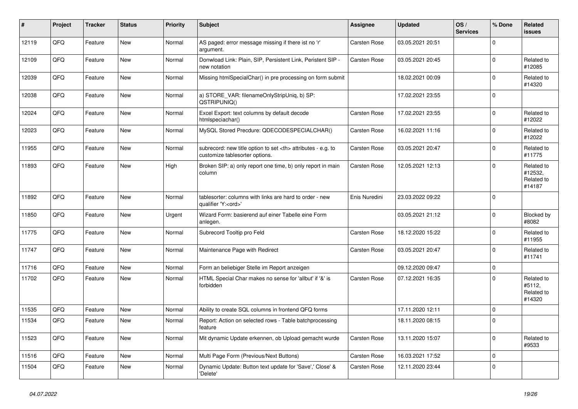| #     | Project | <b>Tracker</b> | <b>Status</b> | <b>Priority</b> | Subject                                                                                              | Assignee                                               | <b>Updated</b>   | OS/<br><b>Services</b> | % Done      | Related<br>issues                             |                      |
|-------|---------|----------------|---------------|-----------------|------------------------------------------------------------------------------------------------------|--------------------------------------------------------|------------------|------------------------|-------------|-----------------------------------------------|----------------------|
| 12119 | QFQ     | Feature        | New           | Normal          | AS paged: error message missing if there ist no 'r'<br>argument.                                     | Carsten Rose                                           | 03.05.2021 20:51 |                        | $\mathbf 0$ |                                               |                      |
| 12109 | QFQ     | Feature        | New           | Normal          | Donwload Link: Plain, SIP, Persistent Link, Peristent SIP -<br>new notation                          | Carsten Rose                                           | 03.05.2021 20:45 |                        | $\mathbf 0$ | Related to<br>#12085                          |                      |
| 12039 | QFQ     | Feature        | <b>New</b>    | Normal          | Missing htmlSpecialChar() in pre processing on form submit                                           |                                                        | 18.02.2021 00:09 |                        | $\mathbf 0$ | Related to<br>#14320                          |                      |
| 12038 | QFQ     | Feature        | New           | Normal          | a) STORE_VAR: filenameOnlyStripUniq, b) SP:<br>QSTRIPUNIQ()                                          |                                                        | 17.02.2021 23:55 |                        | $\mathbf 0$ |                                               |                      |
| 12024 | QFQ     | Feature        | <b>New</b>    | Normal          | Excel Export: text columns by default decode<br>htmlspeciachar()                                     | Carsten Rose                                           | 17.02.2021 23:55 |                        | $\mathbf 0$ | Related to<br>#12022                          |                      |
| 12023 | QFQ     | Feature        | <b>New</b>    | Normal          | MySQL Stored Precdure: QDECODESPECIALCHAR()                                                          | Carsten Rose                                           | 16.02.2021 11:16 |                        | $\mathbf 0$ | Related to<br>#12022                          |                      |
| 11955 | QFQ     | Feature        | <b>New</b>    | Normal          | subrecord: new title option to set <th> attributes - e.g. to<br/>customize tablesorter options.</th> | attributes - e.g. to<br>customize tablesorter options. | Carsten Rose     | 03.05.2021 20:47       |             | $\mathbf 0$                                   | Related to<br>#11775 |
| 11893 | QFQ     | Feature        | <b>New</b>    | High            | Broken SIP: a) only report one time, b) only report in main<br>column                                | Carsten Rose                                           | 12.05.2021 12:13 |                        | $\mathbf 0$ | Related to<br>#12532,<br>Related to<br>#14187 |                      |
| 11892 | QFQ     | Feature        | New           | Normal          | tablesorter: columns with links are hard to order - new<br>qualifier 'Y: <ord>'</ord>                | Enis Nuredini                                          | 23.03.2022 09:22 |                        | $\mathbf 0$ |                                               |                      |
| 11850 | QFQ     | Feature        | New           | Urgent          | Wizard Form: basierend auf einer Tabelle eine Form<br>anlegen.                                       |                                                        | 03.05.2021 21:12 |                        | $\mathbf 0$ | Blocked by<br>#8082                           |                      |
| 11775 | QFQ     | Feature        | <b>New</b>    | Normal          | Subrecord Tooltip pro Feld                                                                           | Carsten Rose                                           | 18.12.2020 15:22 |                        | $\mathbf 0$ | Related to<br>#11955                          |                      |
| 11747 | QFQ     | Feature        | <b>New</b>    | Normal          | Maintenance Page with Redirect                                                                       | Carsten Rose                                           | 03.05.2021 20:47 |                        | $\mathbf 0$ | Related to<br>#11741                          |                      |
| 11716 | QFQ     | Feature        | New           | Normal          | Form an beliebiger Stelle im Report anzeigen                                                         |                                                        | 09.12.2020 09:47 |                        | $\mathbf 0$ |                                               |                      |
| 11702 | QFQ     | Feature        | New           | Normal          | HTML Special Char makes no sense for 'allbut' if '&' is<br>forbidden                                 | Carsten Rose                                           | 07.12.2021 16:35 |                        | $\mathbf 0$ | Related to<br>#5112,<br>Related to<br>#14320  |                      |
| 11535 | QFQ     | Feature        | <b>New</b>    | Normal          | Ability to create SQL columns in frontend QFQ forms                                                  |                                                        | 17.11.2020 12:11 |                        | $\mathbf 0$ |                                               |                      |
| 11534 | QFQ     | Feature        | <b>New</b>    | Normal          | Report: Action on selected rows - Table batchprocessing<br>feature                                   |                                                        | 18.11.2020 08:15 |                        | $\mathbf 0$ |                                               |                      |
| 11523 | QFQ     | Feature        | New           | Normal          | Mit dynamic Update erkennen, ob Upload gemacht wurde                                                 | Carsten Rose                                           | 13.11.2020 15:07 |                        | $\mathbf 0$ | Related to<br>#9533                           |                      |
| 11516 | QFQ     | Feature        | New           | Normal          | Multi Page Form (Previous/Next Buttons)                                                              | Carsten Rose                                           | 16.03.2021 17:52 |                        | $\mathbf 0$ |                                               |                      |
| 11504 | QFQ     | Feature        | New           | Normal          | Dynamic Update: Button text update for 'Save',' Close' &<br>'Delete'                                 | Carsten Rose                                           | 12.11.2020 23:44 |                        | $\mathbf 0$ |                                               |                      |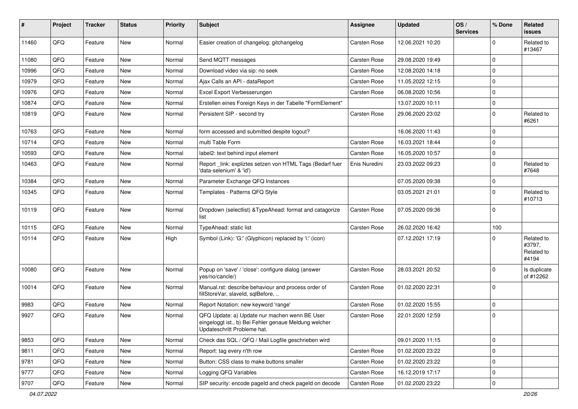| ∦     | Project | <b>Tracker</b> | <b>Status</b> | <b>Priority</b> | Subject                                                                                                                               | Assignee            | <b>Updated</b>   | OS/<br><b>Services</b> | % Done      | Related<br><b>issues</b>                    |
|-------|---------|----------------|---------------|-----------------|---------------------------------------------------------------------------------------------------------------------------------------|---------------------|------------------|------------------------|-------------|---------------------------------------------|
| 11460 | QFQ     | Feature        | New           | Normal          | Easier creation of changelog: gitchangelog                                                                                            | <b>Carsten Rose</b> | 12.06.2021 10:20 |                        | $\Omega$    | Related to<br>#13467                        |
| 11080 | QFQ     | Feature        | New           | Normal          | Send MQTT messages                                                                                                                    | <b>Carsten Rose</b> | 29.08.2020 19:49 |                        | $\mathbf 0$ |                                             |
| 10996 | QFQ     | Feature        | <b>New</b>    | Normal          | Download video via sip: no seek                                                                                                       | <b>Carsten Rose</b> | 12.08.2020 14:18 |                        | $\mathbf 0$ |                                             |
| 10979 | QFQ     | Feature        | New           | Normal          | Ajax Calls an API - dataReport                                                                                                        | Carsten Rose        | 11.05.2022 12:15 |                        | $\Omega$    |                                             |
| 10976 | QFQ     | Feature        | New           | Normal          | Excel Export Verbesserungen                                                                                                           | <b>Carsten Rose</b> | 06.08.2020 10:56 |                        | $\Omega$    |                                             |
| 10874 | QFQ     | Feature        | New           | Normal          | Erstellen eines Foreign Keys in der Tabelle "FormElement"                                                                             |                     | 13.07.2020 10:11 |                        | 0           |                                             |
| 10819 | QFQ     | Feature        | New           | Normal          | Persistent SIP - second try                                                                                                           | <b>Carsten Rose</b> | 29.06.2020 23:02 |                        | $\mathbf 0$ | Related to<br>#6261                         |
| 10763 | QFQ     | Feature        | <b>New</b>    | Normal          | form accessed and submitted despite logout?                                                                                           |                     | 16.06.2020 11:43 |                        | $\mathbf 0$ |                                             |
| 10714 | QFQ     | Feature        | New           | Normal          | multi Table Form                                                                                                                      | Carsten Rose        | 16.03.2021 18:44 |                        | $\mathbf 0$ |                                             |
| 10593 | QFQ     | Feature        | New           | Normal          | label2: text behind input element                                                                                                     | <b>Carsten Rose</b> | 16.05.2020 10:57 |                        | $\mathbf 0$ |                                             |
| 10463 | QFQ     | Feature        | New           | Normal          | Report link: expliztes setzen von HTML Tags (Bedarf fuer<br>'data-selenium' & 'id')                                                   | Enis Nuredini       | 23.03.2022 09:23 |                        | $\mathbf 0$ | Related to<br>#7648                         |
| 10384 | QFQ     | Feature        | New           | Normal          | Parameter Exchange QFQ Instances                                                                                                      |                     | 07.05.2020 09:38 |                        | 0           |                                             |
| 10345 | QFQ     | Feature        | New           | Normal          | Templates - Patterns QFQ Style                                                                                                        |                     | 03.05.2021 21:01 |                        | $\mathbf 0$ | Related to<br>#10713                        |
| 10119 | QFQ     | Feature        | New           | Normal          | Dropdown (selectlist) & TypeAhead: format and catagorize<br>list                                                                      | <b>Carsten Rose</b> | 07.05.2020 09:36 |                        | $\mathbf 0$ |                                             |
| 10115 | QFQ     | Feature        | <b>New</b>    | Normal          | TypeAhead: static list                                                                                                                | <b>Carsten Rose</b> | 26.02.2020 16:42 |                        | 100         |                                             |
| 10114 | QFQ     | Feature        | New           | High            | Symbol (Link): 'G:' (Glyphicon) replaced by 'i:' (icon)                                                                               |                     | 07.12.2021 17:19 |                        | $\Omega$    | Related to<br>#3797,<br>Related to<br>#4194 |
| 10080 | QFQ     | Feature        | <b>New</b>    | Normal          | Popup on 'save' / 'close': configure dialog (answer<br>yes/no/cancle/)                                                                | Carsten Rose        | 28.03.2021 20:52 |                        | $\Omega$    | Is duplicate<br>of #12262                   |
| 10014 | QFQ     | Feature        | New           | Normal          | Manual.rst: describe behaviour and process order of<br>fillStoreVar, slaveId, sqlBefore,                                              | Carsten Rose        | 01.02.2020 22:31 |                        | $\Omega$    |                                             |
| 9983  | QFQ     | Feature        | New           | Normal          | Report Notation: new keyword 'range'                                                                                                  | Carsten Rose        | 01.02.2020 15:55 |                        | 0           |                                             |
| 9927  | QFQ     | Feature        | New           | Normal          | QFQ Update: a) Update nur machen wenn BE User<br>eingeloggt ist., b) Bei Fehler genaue Meldung welcher<br>Updateschritt Probleme hat. | <b>Carsten Rose</b> | 22.01.2020 12:59 |                        | $\mathbf 0$ |                                             |
| 9853  | QFQ     | Feature        | New           | Normal          | Check das SQL / QFQ / Mail Logfile geschrieben wird                                                                                   |                     | 09.01.2020 11:15 |                        | $\mathbf 0$ |                                             |
| 9811  | QFQ     | Feature        | New           | Normal          | Report: tag every n'th row                                                                                                            | Carsten Rose        | 01.02.2020 23:22 |                        | $\mathbf 0$ |                                             |
| 9781  | QFQ     | Feature        | New           | Normal          | Button: CSS class to make buttons smaller                                                                                             | Carsten Rose        | 01.02.2020 23:22 |                        | 0           |                                             |
| 9777  | QFQ     | Feature        | New           | Normal          | Logging QFQ Variables                                                                                                                 | Carsten Rose        | 16.12.2019 17:17 |                        | 0           |                                             |
| 9707  | QFQ     | Feature        | New           | Normal          | SIP security: encode pageld and check pageld on decode                                                                                | Carsten Rose        | 01.02.2020 23:22 |                        | 0           |                                             |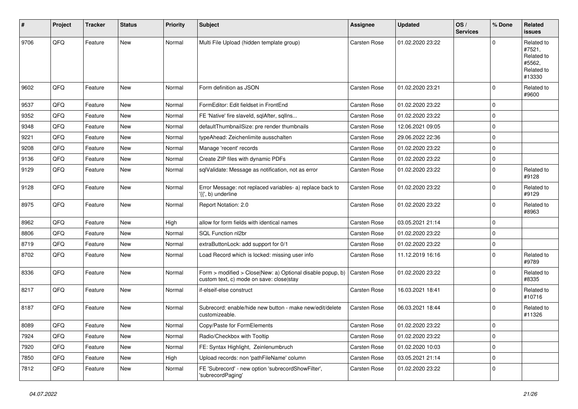| #    | Project | <b>Tracker</b> | <b>Status</b> | <b>Priority</b> | Subject                                                                                                | <b>Assignee</b>     | <b>Updated</b>   | OS/<br><b>Services</b> | % Done      | Related<br><b>issues</b>                                             |
|------|---------|----------------|---------------|-----------------|--------------------------------------------------------------------------------------------------------|---------------------|------------------|------------------------|-------------|----------------------------------------------------------------------|
| 9706 | QFQ     | Feature        | New           | Normal          | Multi File Upload (hidden template group)                                                              | Carsten Rose        | 01.02.2020 23:22 |                        | $\Omega$    | Related to<br>#7521,<br>Related to<br>#5562,<br>Related to<br>#13330 |
| 9602 | QFQ     | Feature        | <b>New</b>    | Normal          | Form definition as JSON                                                                                | <b>Carsten Rose</b> | 01.02.2020 23:21 |                        | $\mathbf 0$ | Related to<br>#9600                                                  |
| 9537 | QFQ     | Feature        | <b>New</b>    | Normal          | FormEditor: Edit fieldset in FrontEnd                                                                  | Carsten Rose        | 01.02.2020 23:22 |                        | $\mathbf 0$ |                                                                      |
| 9352 | QFQ     | Feature        | New           | Normal          | FE 'Native' fire slaveld, sqlAfter, sqlIns                                                             | Carsten Rose        | 01.02.2020 23:22 |                        | $\mathbf 0$ |                                                                      |
| 9348 | QFQ     | Feature        | <b>New</b>    | Normal          | defaultThumbnailSize: pre render thumbnails                                                            | Carsten Rose        | 12.06.2021 09:05 |                        | $\mathbf 0$ |                                                                      |
| 9221 | QFQ     | Feature        | <b>New</b>    | Normal          | typeAhead: Zeichenlimite ausschalten                                                                   | Carsten Rose        | 29.06.2022 22:36 |                        | $\mathbf 0$ |                                                                      |
| 9208 | QFQ     | Feature        | New           | Normal          | Manage 'recent' records                                                                                | Carsten Rose        | 01.02.2020 23:22 |                        | $\mathbf 0$ |                                                                      |
| 9136 | QFQ     | Feature        | New           | Normal          | Create ZIP files with dynamic PDFs                                                                     | Carsten Rose        | 01.02.2020 23:22 |                        | $\mathbf 0$ |                                                                      |
| 9129 | QFQ     | Feature        | <b>New</b>    | Normal          | sqlValidate: Message as notification, not as error                                                     | Carsten Rose        | 01.02.2020 23:22 |                        | $\mathbf 0$ | Related to<br>#9128                                                  |
| 9128 | QFQ     | Feature        | <b>New</b>    | Normal          | Error Message: not replaced variables- a) replace back to<br>'{{', b) underline                        | Carsten Rose        | 01.02.2020 23:22 |                        | $\mathbf 0$ | Related to<br>#9129                                                  |
| 8975 | QFQ     | Feature        | <b>New</b>    | Normal          | Report Notation: 2.0                                                                                   | Carsten Rose        | 01.02.2020 23:22 |                        | $\mathbf 0$ | Related to<br>#8963                                                  |
| 8962 | QFQ     | Feature        | <b>New</b>    | High            | allow for form fields with identical names                                                             | Carsten Rose        | 03.05.2021 21:14 |                        | $\mathbf 0$ |                                                                      |
| 8806 | QFQ     | Feature        | New           | Normal          | SQL Function nl2br                                                                                     | Carsten Rose        | 01.02.2020 23:22 |                        | $\mathbf 0$ |                                                                      |
| 8719 | QFQ     | Feature        | <b>New</b>    | Normal          | extraButtonLock: add support for 0/1                                                                   | Carsten Rose        | 01.02.2020 23:22 |                        | $\mathbf 0$ |                                                                      |
| 8702 | QFQ     | Feature        | New           | Normal          | Load Record which is locked: missing user info                                                         | Carsten Rose        | 11.12.2019 16:16 |                        | $\mathbf 0$ | Related to<br>#9789                                                  |
| 8336 | QFQ     | Feature        | <b>New</b>    | Normal          | Form > modified > Close New: a) Optional disable popup, b)<br>custom text, c) mode on save: close stay | Carsten Rose        | 01.02.2020 23:22 |                        | $\mathbf 0$ | Related to<br>#8335                                                  |
| 8217 | QFQ     | Feature        | <b>New</b>    | Normal          | if-elseif-else construct                                                                               | Carsten Rose        | 16.03.2021 18:41 |                        | $\mathbf 0$ | Related to<br>#10716                                                 |
| 8187 | QFQ     | Feature        | <b>New</b>    | Normal          | Subrecord: enable/hide new button - make new/edit/delete<br>customizeable.                             | Carsten Rose        | 06.03.2021 18:44 |                        | $\mathbf 0$ | Related to<br>#11326                                                 |
| 8089 | QFQ     | Feature        | New           | Normal          | Copy/Paste for FormElements                                                                            | Carsten Rose        | 01.02.2020 23:22 |                        | $\mathbf 0$ |                                                                      |
| 7924 | QFQ     | Feature        | New           | Normal          | Radio/Checkbox with Tooltip                                                                            | Carsten Rose        | 01.02.2020 23:22 |                        | $\mathbf 0$ |                                                                      |
| 7920 | QFQ     | Feature        | New           | Normal          | FE: Syntax Highlight, Zeinlenumbruch                                                                   | Carsten Rose        | 01.02.2020 10:03 |                        | $\mathbf 0$ |                                                                      |
| 7850 | QFQ     | Feature        | New           | High            | Upload records: non 'pathFileName' column                                                              | Carsten Rose        | 03.05.2021 21:14 |                        | $\mathbf 0$ |                                                                      |
| 7812 | QFQ     | Feature        | New           | Normal          | FE 'Subrecord' - new option 'subrecordShowFilter',<br>'subrecordPaging'                                | Carsten Rose        | 01.02.2020 23:22 |                        | $\mathbf 0$ |                                                                      |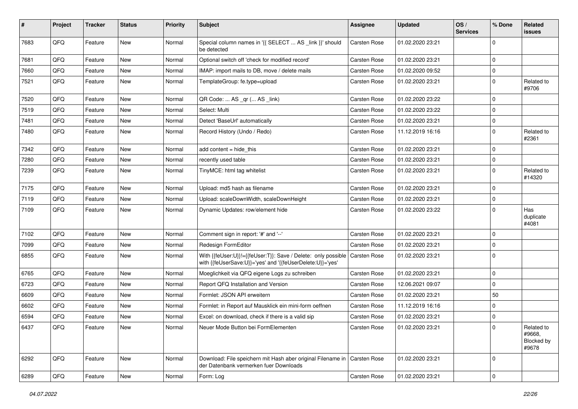| #    | Project | <b>Tracker</b> | <b>Status</b> | <b>Priority</b> | Subject                                                                                                                    | Assignee            | <b>Updated</b>   | OS/<br><b>Services</b> | % Done       | Related<br>issues                           |
|------|---------|----------------|---------------|-----------------|----------------------------------------------------------------------------------------------------------------------------|---------------------|------------------|------------------------|--------------|---------------------------------------------|
| 7683 | QFQ     | Feature        | New           | Normal          | Special column names in '{{ SELECT  AS _link }}' should<br>be detected                                                     | <b>Carsten Rose</b> | 01.02.2020 23:21 |                        | $\Omega$     |                                             |
| 7681 | QFQ     | Feature        | New           | Normal          | Optional switch off 'check for modified record'                                                                            | Carsten Rose        | 01.02.2020 23:21 |                        | $\Omega$     |                                             |
| 7660 | QFQ     | Feature        | <b>New</b>    | Normal          | IMAP: import mails to DB, move / delete mails                                                                              | Carsten Rose        | 01.02.2020 09:52 |                        | $\Omega$     |                                             |
| 7521 | QFQ     | Feature        | New           | Normal          | TemplateGroup: fe.type=upload                                                                                              | Carsten Rose        | 01.02.2020 23:21 |                        | $\Omega$     | Related to<br>#9706                         |
| 7520 | QFQ     | Feature        | New           | Normal          | QR Code:  AS _qr ( AS _link)                                                                                               | Carsten Rose        | 01.02.2020 23:22 |                        | $\mathbf{0}$ |                                             |
| 7519 | QFQ     | Feature        | New           | Normal          | Select: Multi                                                                                                              | Carsten Rose        | 01.02.2020 23:22 |                        | $\Omega$     |                                             |
| 7481 | QFQ     | Feature        | New           | Normal          | Detect 'BaseUrl' automatically                                                                                             | Carsten Rose        | 01.02.2020 23:21 |                        | $\Omega$     |                                             |
| 7480 | QFQ     | Feature        | New           | Normal          | Record History (Undo / Redo)                                                                                               | Carsten Rose        | 11.12.2019 16:16 |                        | $\mathbf 0$  | Related to<br>#2361                         |
| 7342 | QFQ     | Feature        | <b>New</b>    | Normal          | add content = hide_this                                                                                                    | <b>Carsten Rose</b> | 01.02.2020 23:21 |                        | $\Omega$     |                                             |
| 7280 | QFQ     | Feature        | New           | Normal          | recently used table                                                                                                        | Carsten Rose        | 01.02.2020 23:21 |                        | $\mathbf 0$  |                                             |
| 7239 | QFQ     | Feature        | New           | Normal          | TinyMCE: html tag whitelist                                                                                                | Carsten Rose        | 01.02.2020 23:21 |                        | $\mathbf 0$  | Related to<br>#14320                        |
| 7175 | QFQ     | Feature        | New           | Normal          | Upload: md5 hash as filename                                                                                               | Carsten Rose        | 01.02.2020 23:21 |                        | $\Omega$     |                                             |
| 7119 | QFQ     | Feature        | New           | Normal          | Upload: scaleDownWidth, scaleDownHeight                                                                                    | Carsten Rose        | 01.02.2020 23:21 |                        | $\Omega$     |                                             |
| 7109 | QFQ     | Feature        | New           | Normal          | Dynamic Updates: row/element hide                                                                                          | Carsten Rose        | 01.02.2020 23:22 |                        | $\Omega$     | Has<br>duplicate<br>#4081                   |
| 7102 | QFQ     | Feature        | <b>New</b>    | Normal          | Comment sign in report: '#' and '--'                                                                                       | Carsten Rose        | 01.02.2020 23:21 |                        | $\Omega$     |                                             |
| 7099 | QFQ     | Feature        | New           | Normal          | Redesign FormEditor                                                                                                        | Carsten Rose        | 01.02.2020 23:21 |                        | $\mathbf 0$  |                                             |
| 6855 | QFQ     | Feature        | New           | Normal          | With {{feUser:U}}!={{feUser:T}}: Save / Delete: only possible<br>with {{feUserSave:U}}='yes' and '{{feUserDelete:U}}='yes' | <b>Carsten Rose</b> | 01.02.2020 23:21 |                        | l 0          |                                             |
| 6765 | QFQ     | Feature        | <b>New</b>    | Normal          | Moeglichkeit via QFQ eigene Logs zu schreiben                                                                              | Carsten Rose        | 01.02.2020 23:21 |                        | l 0          |                                             |
| 6723 | QFQ     | Feature        | New           | Normal          | Report QFQ Installation and Version                                                                                        | Carsten Rose        | 12.06.2021 09:07 |                        | $\mathbf 0$  |                                             |
| 6609 | QFQ     | Feature        | New           | Normal          | Formlet: JSON API erweitern                                                                                                | Carsten Rose        | 01.02.2020 23:21 |                        | 50           |                                             |
| 6602 | QFQ     | Feature        | <b>New</b>    | Normal          | Formlet: in Report auf Mausklick ein mini-form oeffnen                                                                     | <b>Carsten Rose</b> | 11.12.2019 16:16 |                        | $\Omega$     |                                             |
| 6594 | QFQ     | Feature        | New           | Normal          | Excel: on download, check if there is a valid sip                                                                          | Carsten Rose        | 01.02.2020 23:21 |                        | $\mathbf 0$  |                                             |
| 6437 | QFQ     | Feature        | New           | Normal          | Neuer Mode Button bei FormElementen                                                                                        | Carsten Rose        | 01.02.2020 23:21 |                        |              | Related to<br>#9668.<br>Blocked by<br>#9678 |
| 6292 | QFQ     | Feature        | New           | Normal          | Download: File speichern mit Hash aber original Filename in   Carsten Rose<br>der Datenbank vermerken fuer Downloads       |                     | 01.02.2020 23:21 |                        | l O          |                                             |
| 6289 | QFQ     | Feature        | New           | Normal          | Form: Log                                                                                                                  | Carsten Rose        | 01.02.2020 23:21 |                        | l 0          |                                             |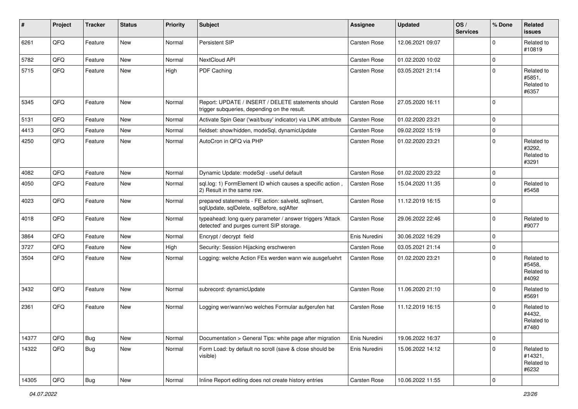| #     | Project | <b>Tracker</b> | <b>Status</b> | <b>Priority</b> | Subject                                                                                                | <b>Assignee</b> | <b>Updated</b>   | OS/<br><b>Services</b> | % Done              | Related<br><b>issues</b>                     |
|-------|---------|----------------|---------------|-----------------|--------------------------------------------------------------------------------------------------------|-----------------|------------------|------------------------|---------------------|----------------------------------------------|
| 6261  | QFQ     | Feature        | New           | Normal          | Persistent SIP                                                                                         | Carsten Rose    | 12.06.2021 09:07 |                        | $\Omega$            | Related to<br>#10819                         |
| 5782  | QFQ     | Feature        | <b>New</b>    | Normal          | NextCloud API                                                                                          | Carsten Rose    | 01.02.2020 10:02 |                        | $\mathbf 0$         |                                              |
| 5715  | QFQ     | Feature        | <b>New</b>    | High            | PDF Caching                                                                                            | Carsten Rose    | 03.05.2021 21:14 |                        | $\mathbf 0$         | Related to<br>#5851,<br>Related to<br>#6357  |
| 5345  | QFQ     | Feature        | <b>New</b>    | Normal          | Report: UPDATE / INSERT / DELETE statements should<br>trigger subqueries, depending on the result.     | Carsten Rose    | 27.05.2020 16:11 |                        | $\mathbf 0$         |                                              |
| 5131  | QFQ     | Feature        | <b>New</b>    | Normal          | Activate Spin Gear ('wait/busy' indicator) via LINK attribute                                          | Carsten Rose    | 01.02.2020 23:21 |                        | $\mathbf 0$         |                                              |
| 4413  | QFQ     | Feature        | New           | Normal          | fieldset: show/hidden, modeSql, dynamicUpdate                                                          | Carsten Rose    | 09.02.2022 15:19 |                        | $\mathbf 0$         |                                              |
| 4250  | QFQ     | Feature        | <b>New</b>    | Normal          | AutoCron in QFQ via PHP                                                                                | Carsten Rose    | 01.02.2020 23:21 |                        | $\mathbf 0$         | Related to<br>#3292,<br>Related to<br>#3291  |
| 4082  | QFQ     | Feature        | New           | Normal          | Dynamic Update: modeSql - useful default                                                               | Carsten Rose    | 01.02.2020 23:22 |                        | $\mathbf 0$         |                                              |
| 4050  | QFQ     | Feature        | New           | Normal          | sql.log: 1) FormElement ID which causes a specific action,<br>2) Result in the same row.               | Carsten Rose    | 15.04.2020 11:35 |                        | $\mathbf 0$         | Related to<br>#5458                          |
| 4023  | QFQ     | Feature        | <b>New</b>    | Normal          | prepared statements - FE action: salveld, sqllnsert,<br>sqlUpdate, sqlDelete, sqlBefore, sqlAfter      | Carsten Rose    | 11.12.2019 16:15 |                        | $\mathbf 0$         |                                              |
| 4018  | QFQ     | Feature        | <b>New</b>    | Normal          | typeahead: long query parameter / answer triggers 'Attack<br>detected' and purges current SIP storage. | Carsten Rose    | 29.06.2022 22:46 |                        | $\mathbf 0$         | Related to<br>#9077                          |
| 3864  | QFQ     | Feature        | New           | Normal          | Encrypt / decrypt field                                                                                | Enis Nuredini   | 30.06.2022 16:29 |                        | $\mathbf 0$         |                                              |
| 3727  | QFQ     | Feature        | <b>New</b>    | High            | Security: Session Hijacking erschweren                                                                 | Carsten Rose    | 03.05.2021 21:14 |                        | $\mathsf{O}\xspace$ |                                              |
| 3504  | QFQ     | Feature        | <b>New</b>    | Normal          | Logging: welche Action FEs werden wann wie ausgefuehrt                                                 | Carsten Rose    | 01.02.2020 23:21 |                        | $\mathbf 0$         | Related to<br>#5458,<br>Related to<br>#4092  |
| 3432  | QFQ     | Feature        | <b>New</b>    | Normal          | subrecord: dynamicUpdate                                                                               | Carsten Rose    | 11.06.2020 21:10 |                        | $\mathbf 0$         | Related to<br>#5691                          |
| 2361  | QFQ     | Feature        | New           | Normal          | Logging wer/wann/wo welches Formular aufgerufen hat                                                    | Carsten Rose    | 11.12.2019 16:15 |                        | $\mathbf 0$         | Related to<br>#4432,<br>Related to<br>#7480  |
| 14377 | QFQ     | <b>Bug</b>     | New           | Normal          | Documentation > General Tips: white page after migration                                               | Enis Nuredini   | 19.06.2022 16:37 |                        | $\mathbf 0$         |                                              |
| 14322 | QFQ     | Bug            | New           | Normal          | Form Load: by default no scroll (save & close should be<br>visible)                                    | Enis Nuredini   | 15.06.2022 14:12 |                        | $\mathbf 0$         | Related to<br>#14321,<br>Related to<br>#6232 |
| 14305 | QFQ     | Bug            | New           | Normal          | Inline Report editing does not create history entries                                                  | Carsten Rose    | 10.06.2022 11:55 |                        | 0                   |                                              |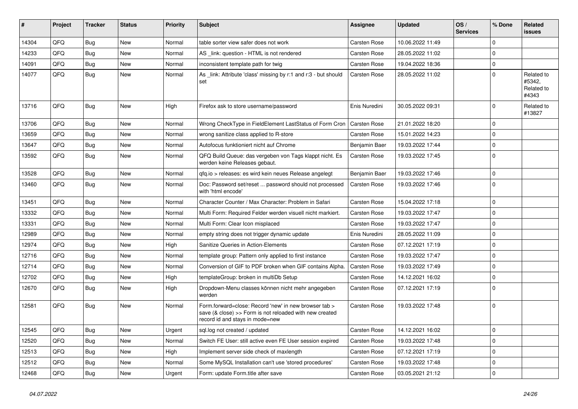| #     | Project | <b>Tracker</b> | <b>Status</b> | <b>Priority</b> | <b>Subject</b>                                                                                                                                      | Assignee            | <b>Updated</b>   | OS/<br><b>Services</b> | % Done      | Related<br><b>issues</b>                    |
|-------|---------|----------------|---------------|-----------------|-----------------------------------------------------------------------------------------------------------------------------------------------------|---------------------|------------------|------------------------|-------------|---------------------------------------------|
| 14304 | QFQ     | Bug            | <b>New</b>    | Normal          | table sorter view safer does not work                                                                                                               | Carsten Rose        | 10.06.2022 11:49 |                        | $\mathbf 0$ |                                             |
| 14233 | QFQ     | Bug            | <b>New</b>    | Normal          | AS link: question - HTML is not rendered                                                                                                            | Carsten Rose        | 28.05.2022 11:02 |                        | $\mathbf 0$ |                                             |
| 14091 | QFQ     | Bug            | <b>New</b>    | Normal          | inconsistent template path for twig                                                                                                                 | Carsten Rose        | 19.04.2022 18:36 |                        | $\pmb{0}$   |                                             |
| 14077 | QFQ     | Bug            | <b>New</b>    | Normal          | As link: Attribute 'class' missing by r:1 and r:3 - but should<br>set                                                                               | <b>Carsten Rose</b> | 28.05.2022 11:02 |                        | $\mathbf 0$ | Related to<br>#5342,<br>Related to<br>#4343 |
| 13716 | QFQ     | <b>Bug</b>     | <b>New</b>    | Hiah            | Firefox ask to store username/password                                                                                                              | Enis Nuredini       | 30.05.2022 09:31 |                        | $\Omega$    | Related to<br>#13827                        |
| 13706 | QFQ     | Bug            | <b>New</b>    | Normal          | Wrong CheckType in FieldElement LastStatus of Form Cron                                                                                             | <b>Carsten Rose</b> | 21.01.2022 18:20 |                        | $\mathbf 0$ |                                             |
| 13659 | QFQ     | Bug            | <b>New</b>    | Normal          | wrong sanitize class applied to R-store                                                                                                             | Carsten Rose        | 15.01.2022 14:23 |                        | $\mathbf 0$ |                                             |
| 13647 | QFQ     | Bug            | <b>New</b>    | Normal          | Autofocus funktioniert nicht auf Chrome                                                                                                             | Benjamin Baer       | 19.03.2022 17:44 |                        | $\mathbf 0$ |                                             |
| 13592 | QFQ     | Bug            | <b>New</b>    | Normal          | QFQ Build Queue: das vergeben von Tags klappt nicht. Es<br>werden keine Releases gebaut.                                                            | <b>Carsten Rose</b> | 19.03.2022 17:45 |                        | $\mathbf 0$ |                                             |
| 13528 | QFQ     | <b>Bug</b>     | <b>New</b>    | Normal          | gfg.io > releases: es wird kein neues Release angelegt                                                                                              | Benjamin Baer       | 19.03.2022 17:46 |                        | $\mathbf 0$ |                                             |
| 13460 | QFQ     | Bug            | <b>New</b>    | Normal          | Doc: Password set/reset  password should not processed<br>with 'html encode'                                                                        | <b>Carsten Rose</b> | 19.03.2022 17:46 |                        | $\mathbf 0$ |                                             |
| 13451 | QFQ     | <b>Bug</b>     | <b>New</b>    | Normal          | Character Counter / Max Character: Problem in Safari                                                                                                | <b>Carsten Rose</b> | 15.04.2022 17:18 |                        | $\Omega$    |                                             |
| 13332 | QFQ     | <b>Bug</b>     | <b>New</b>    | Normal          | Multi Form: Required Felder werden visuell nicht markiert.                                                                                          | <b>Carsten Rose</b> | 19.03.2022 17:47 |                        | $\pmb{0}$   |                                             |
| 13331 | QFQ     | <b>Bug</b>     | <b>New</b>    | Normal          | Multi Form: Clear Icon misplaced                                                                                                                    | <b>Carsten Rose</b> | 19.03.2022 17:47 |                        | $\Omega$    |                                             |
| 12989 | QFQ     | <b>Bug</b>     | <b>New</b>    | Normal          | empty string does not trigger dynamic update                                                                                                        | Enis Nuredini       | 28.05.2022 11:09 |                        | $\mathbf 0$ |                                             |
| 12974 | QFQ     | <b>Bug</b>     | <b>New</b>    | High            | Sanitize Queries in Action-Elements                                                                                                                 | Carsten Rose        | 07.12.2021 17:19 |                        | $\Omega$    |                                             |
| 12716 | QFQ     | <b>Bug</b>     | <b>New</b>    | Normal          | template group: Pattern only applied to first instance                                                                                              | Carsten Rose        | 19.03.2022 17:47 |                        | $\mathbf 0$ |                                             |
| 12714 | QFQ     | <b>Bug</b>     | <b>New</b>    | Normal          | Conversion of GIF to PDF broken when GIF contains Alpha.                                                                                            | Carsten Rose        | 19.03.2022 17:49 |                        | $\mathbf 0$ |                                             |
| 12702 | QFQ     | <b>Bug</b>     | <b>New</b>    | High            | templateGroup: broken in multiDb Setup                                                                                                              | Carsten Rose        | 14.12.2021 16:02 |                        | $\mathbf 0$ |                                             |
| 12670 | QFQ     | <b>Bug</b>     | New           | High            | Dropdown-Menu classes können nicht mehr angegeben<br>werden                                                                                         | <b>Carsten Rose</b> | 07.12.2021 17:19 |                        | $\mathbf 0$ |                                             |
| 12581 | QFQ     | Bug            | New           | Normal          | Form.forward=close: Record 'new' in new browser tab ><br>save (& close) >> Form is not reloaded with new created<br>record id and stays in mode=new | <b>Carsten Rose</b> | 19.03.2022 17:48 |                        | $\mathbf 0$ |                                             |
| 12545 | QFQ     | <b>Bug</b>     | <b>New</b>    | Urgent          | sql.log not created / updated                                                                                                                       | <b>Carsten Rose</b> | 14.12.2021 16:02 |                        | $\pmb{0}$   |                                             |
| 12520 | QFQ     | Bug            | <b>New</b>    | Normal          | Switch FE User: still active even FE User session expired                                                                                           | Carsten Rose        | 19.03.2022 17:48 |                        | $\pmb{0}$   |                                             |
| 12513 | QFQ     | <b>Bug</b>     | <b>New</b>    | High            | Implement server side check of maxlength                                                                                                            | Carsten Rose        | 07.12.2021 17:19 |                        | $\pmb{0}$   |                                             |
| 12512 | QFQ     | Bug            | <b>New</b>    | Normal          | Some MySQL Installation can't use 'stored procedures'                                                                                               | Carsten Rose        | 19.03.2022 17:48 |                        | $\mathbf 0$ |                                             |
| 12468 | QFQ     | Bug            | <b>New</b>    | Urgent          | Form: update Form.title after save                                                                                                                  | <b>Carsten Rose</b> | 03.05.2021 21:12 |                        | $\pmb{0}$   |                                             |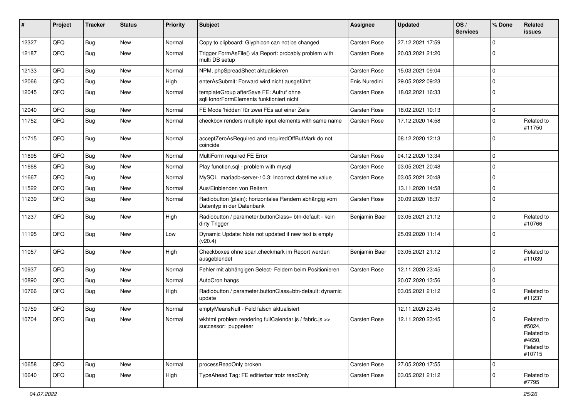| #     | Project | <b>Tracker</b> | <b>Status</b> | <b>Priority</b> | Subject                                                                             | <b>Assignee</b>     | <b>Updated</b>   | OS/<br><b>Services</b> | % Done      | Related<br><b>issues</b>                                             |
|-------|---------|----------------|---------------|-----------------|-------------------------------------------------------------------------------------|---------------------|------------------|------------------------|-------------|----------------------------------------------------------------------|
| 12327 | QFQ     | <b>Bug</b>     | <b>New</b>    | Normal          | Copy to clipboard: Glyphicon can not be changed                                     | Carsten Rose        | 27.12.2021 17:59 |                        | $\Omega$    |                                                                      |
| 12187 | QFQ     | <b>Bug</b>     | <b>New</b>    | Normal          | Trigger FormAsFile() via Report: probably problem with<br>multi DB setup            | Carsten Rose        | 20.03.2021 21:20 |                        | $\Omega$    |                                                                      |
| 12133 | QFQ     | <b>Bug</b>     | <b>New</b>    | Normal          | NPM, phpSpreadSheet aktualisieren                                                   | Carsten Rose        | 15.03.2021 09:04 |                        | $\mathbf 0$ |                                                                      |
| 12066 | QFQ     | <b>Bug</b>     | <b>New</b>    | High            | enterAsSubmit: Forward wird nicht ausgeführt                                        | Enis Nuredini       | 29.05.2022 09:23 |                        | $\Omega$    |                                                                      |
| 12045 | QFQ     | Bug            | New           | Normal          | templateGroup afterSave FE: Aufruf ohne<br>sglHonorFormElements funktioniert nicht  | Carsten Rose        | 18.02.2021 16:33 |                        | $\Omega$    |                                                                      |
| 12040 | QFQ     | <b>Bug</b>     | <b>New</b>    | Normal          | FE Mode 'hidden' für zwei FEs auf einer Zeile                                       | Carsten Rose        | 18.02.2021 10:13 |                        | $\Omega$    |                                                                      |
| 11752 | QFQ     | Bug            | New           | Normal          | checkbox renders multiple input elements with same name                             | <b>Carsten Rose</b> | 17.12.2020 14:58 |                        | $\Omega$    | Related to<br>#11750                                                 |
| 11715 | QFQ     | <b>Bug</b>     | <b>New</b>    | Normal          | acceptZeroAsRequired and requiredOffButMark do not<br>coincide                      |                     | 08.12.2020 12:13 |                        | $\Omega$    |                                                                      |
| 11695 | QFQ     | <b>Bug</b>     | <b>New</b>    | Normal          | MultiForm required FE Error                                                         | Carsten Rose        | 04.12.2020 13:34 |                        | $\mathbf 0$ |                                                                      |
| 11668 | QFQ     | <b>Bug</b>     | <b>New</b>    | Normal          | Play function.sql - problem with mysql                                              | Carsten Rose        | 03.05.2021 20:48 |                        | $\Omega$    |                                                                      |
| 11667 | QFQ     | <b>Bug</b>     | <b>New</b>    | Normal          | MySQL mariadb-server-10.3: Incorrect datetime value                                 | Carsten Rose        | 03.05.2021 20:48 |                        | $\Omega$    |                                                                      |
| 11522 | QFQ     | <b>Bug</b>     | <b>New</b>    | Normal          | Aus/Einblenden von Reitern                                                          |                     | 13.11.2020 14:58 |                        | $\Omega$    |                                                                      |
| 11239 | QFQ     | Bug            | New           | Normal          | Radiobutton (plain): horizontales Rendern abhängig vom<br>Datentyp in der Datenbank | Carsten Rose        | 30.09.2020 18:37 |                        | $\Omega$    |                                                                      |
| 11237 | QFQ     | <b>Bug</b>     | New           | High            | Radiobutton / parameter.buttonClass= btn-default - kein<br>dirty Trigger            | Benjamin Baer       | 03.05.2021 21:12 |                        | $\Omega$    | Related to<br>#10766                                                 |
| 11195 | QFQ     | <b>Bug</b>     | <b>New</b>    | Low             | Dynamic Update: Note not updated if new text is empty<br>(v20.4)                    |                     | 25.09.2020 11:14 |                        | $\Omega$    |                                                                      |
| 11057 | QFQ     | <b>Bug</b>     | New           | High            | Checkboxes ohne span.checkmark im Report werden<br>ausgeblendet                     | Benjamin Baer       | 03.05.2021 21:12 |                        | $\Omega$    | Related to<br>#11039                                                 |
| 10937 | QFQ     | <b>Bug</b>     | <b>New</b>    | Normal          | Fehler mit abhängigen Select- Feldern beim Positionieren                            | Carsten Rose        | 12.11.2020 23:45 |                        | $\mathbf 0$ |                                                                      |
| 10890 | QFQ     | <b>Bug</b>     | <b>New</b>    | Normal          | AutoCron hangs                                                                      |                     | 20.07.2020 13:56 |                        | $\mathbf 0$ |                                                                      |
| 10766 | QFQ     | <b>Bug</b>     | <b>New</b>    | High            | Radiobutton / parameter.buttonClass=btn-default: dynamic<br>update                  |                     | 03.05.2021 21:12 |                        | $\Omega$    | Related to<br>#11237                                                 |
| 10759 | QFQ     | <b>Bug</b>     | <b>New</b>    | Normal          | emptyMeansNull - Feld falsch aktualisiert                                           |                     | 12.11.2020 23:45 |                        | $\mathbf 0$ |                                                                      |
| 10704 | QFQ     | <b>Bug</b>     | New           | Normal          | wkhtml problem rendering fullCalendar.js / fabric.js >><br>successor: puppeteer     | Carsten Rose        | 12.11.2020 23:45 |                        | $\Omega$    | Related to<br>#5024,<br>Related to<br>#4650,<br>Related to<br>#10715 |
| 10658 | QFQ     | <b>Bug</b>     | New           | Normal          | processReadOnly broken                                                              | Carsten Rose        | 27.05.2020 17:55 |                        | $\mathbf 0$ |                                                                      |
| 10640 | QFQ     | Bug            | New           | High            | TypeAhead Tag: FE editierbar trotz readOnly                                         | Carsten Rose        | 03.05.2021 21:12 |                        | $\mathbf 0$ | Related to<br>#7795                                                  |